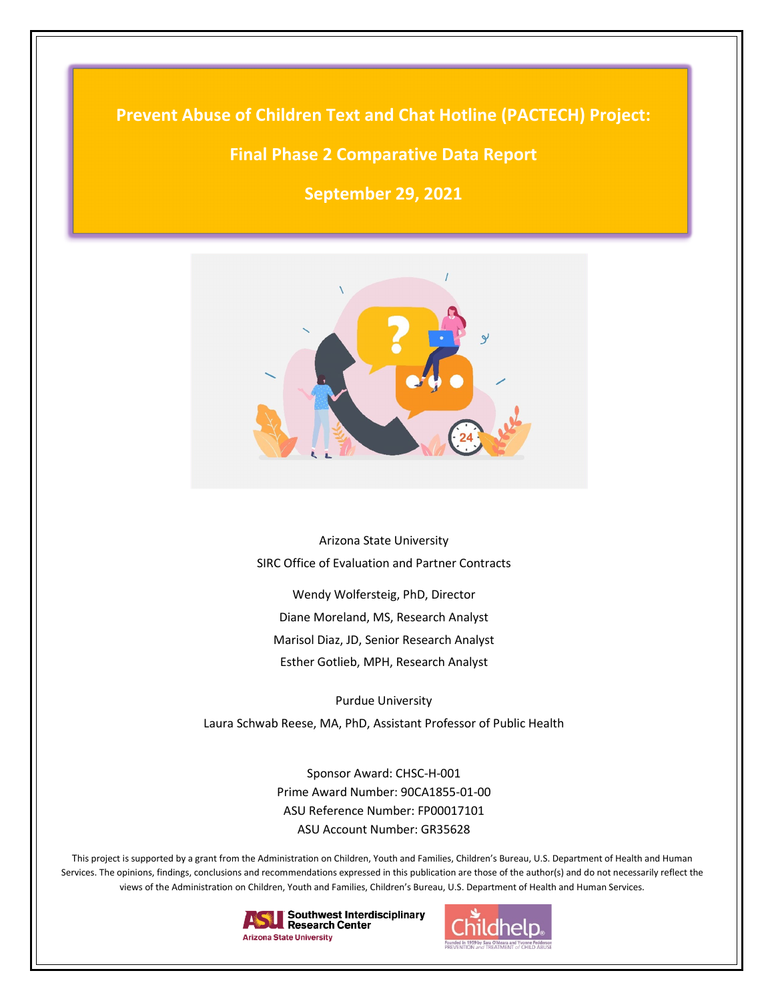**Prevent Abuse of Children Text and Chat Hotline (PACTECH) Project:**

# **Final Phase 2 Comparative Data Report**

**September 29, 2021**



Arizona State University SIRC Office of Evaluation and Partner Contracts

Wendy Wolfersteig, PhD, Director Diane Moreland, MS, Research Analyst Marisol Diaz, JD, Senior Research Analyst Esther Gotlieb, MPH, Research Analyst

Purdue University Laura Schwab Reese, MA, PhD, Assistant Professor of Public Health

> Sponsor Award: CHSC-H-001 Prime Award Number: 90CA1855-01-00 ASU Reference Number: FP00017101 ASU Account Number: GR35628

This project is supported by a grant from the Administration on Children, Youth and Families, Children's Bureau, U.S. Department of Health and Human Services. The opinions, findings, conclusions and recommendations expressed in this publication are those of the author(s) and do not necessarily reflect the views of the Administration on Children, Youth and Families, Children's Bureau, U.S. Department of Health and Human Services.



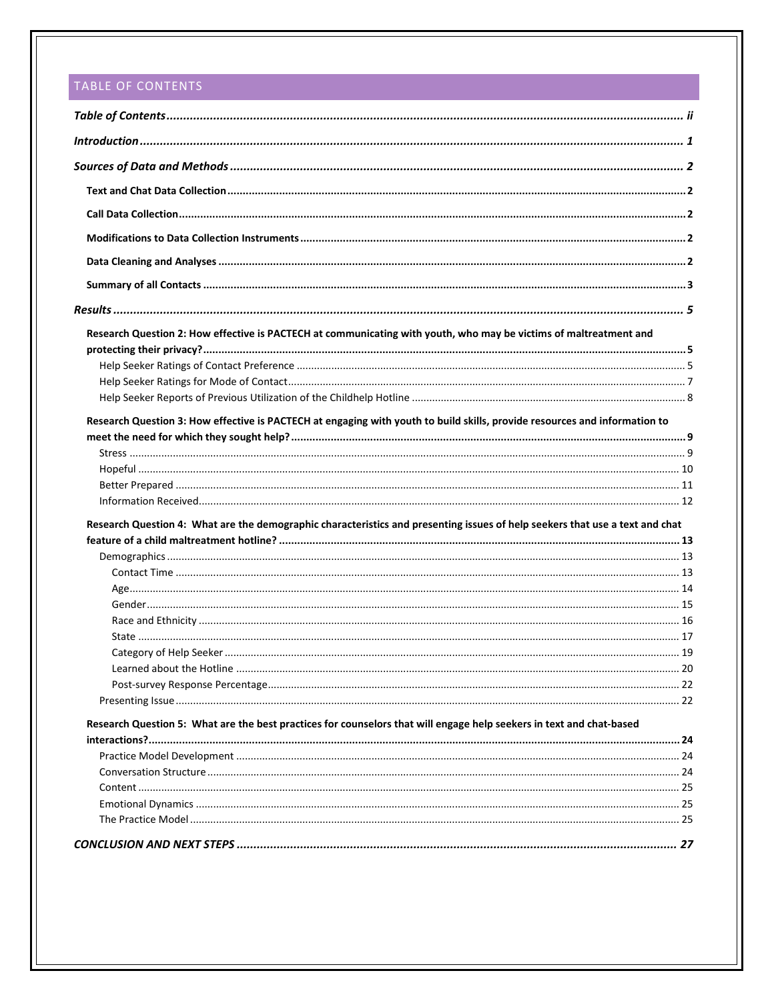# <span id="page-1-0"></span>TABLE OF CONTENTS

| Research Question 2: How effective is PACTECH at communicating with youth, who may be victims of maltreatment and            |  |
|------------------------------------------------------------------------------------------------------------------------------|--|
|                                                                                                                              |  |
|                                                                                                                              |  |
|                                                                                                                              |  |
|                                                                                                                              |  |
| Research Question 3: How effective is PACTECH at engaging with youth to build skills, provide resources and information to   |  |
|                                                                                                                              |  |
|                                                                                                                              |  |
|                                                                                                                              |  |
|                                                                                                                              |  |
|                                                                                                                              |  |
| Research Question 4: What are the demographic characteristics and presenting issues of help seekers that use a text and chat |  |
|                                                                                                                              |  |
|                                                                                                                              |  |
|                                                                                                                              |  |
|                                                                                                                              |  |
|                                                                                                                              |  |
|                                                                                                                              |  |
|                                                                                                                              |  |
|                                                                                                                              |  |
|                                                                                                                              |  |
|                                                                                                                              |  |
| Research Question 5: What are the best practices for counselors that will engage help seekers in text and chat-based         |  |
|                                                                                                                              |  |
|                                                                                                                              |  |
|                                                                                                                              |  |
|                                                                                                                              |  |
|                                                                                                                              |  |
|                                                                                                                              |  |
|                                                                                                                              |  |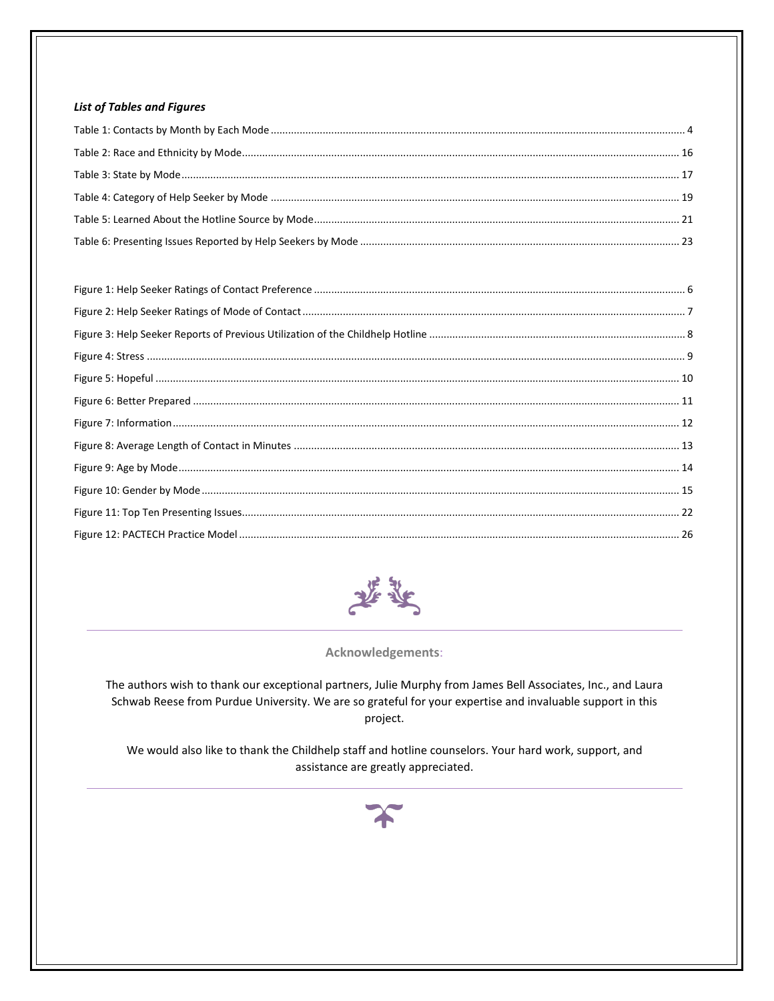### **List of Tables and Figures**



Acknowledgements:

The authors wish to thank our exceptional partners, Julie Murphy from James Bell Associates, Inc., and Laura Schwab Reese from Purdue University. We are so grateful for your expertise and invaluable support in this project.

We would also like to thank the Childhelp staff and hotline counselors. Your hard work, support, and assistance are greatly appreciated.

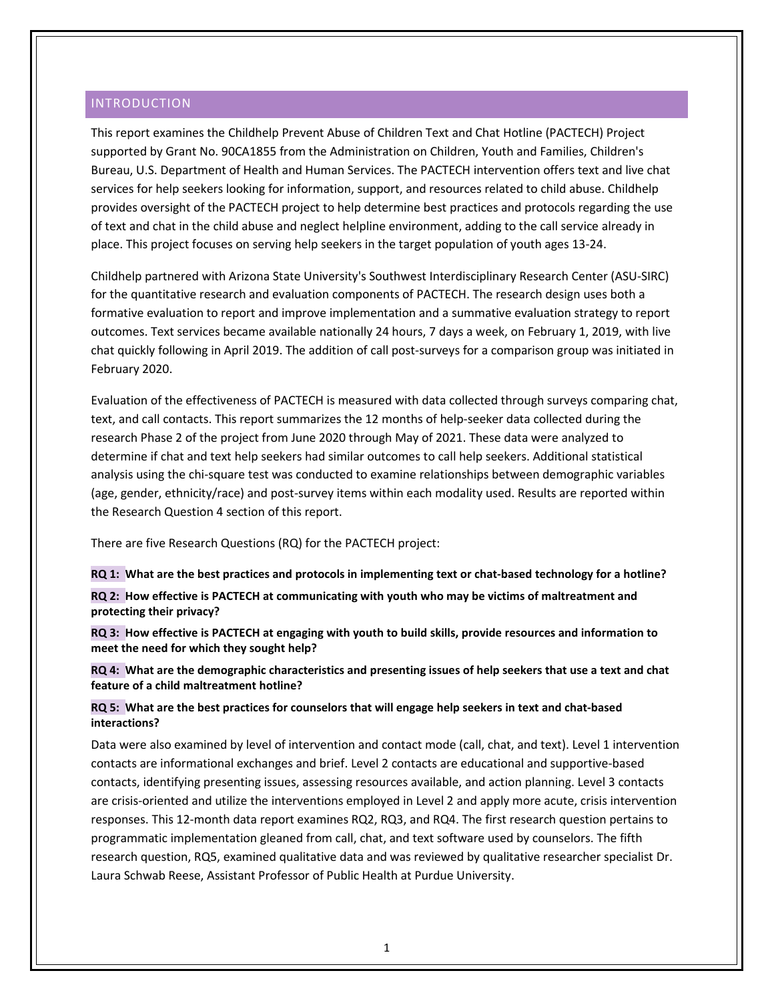# <span id="page-3-0"></span>INTRODUCTION

This report examines the Childhelp Prevent Abuse of Children Text and Chat Hotline (PACTECH) Project supported by Grant No. 90CA1855 from the Administration on Children, Youth and Families, Children's Bureau, U.S. Department of Health and Human Services. The PACTECH intervention offers text and live chat services for help seekers looking for information, support, and resources related to child abuse. Childhelp provides oversight of the PACTECH project to help determine best practices and protocols regarding the use of text and chat in the child abuse and neglect helpline environment, adding to the call service already in place. This project focuses on serving help seekers in the target population of youth ages 13-24.

Childhelp partnered with Arizona State University's Southwest Interdisciplinary Research Center (ASU-SIRC) for the quantitative research and evaluation components of PACTECH. The research design uses both a formative evaluation to report and improve implementation and a summative evaluation strategy to report outcomes. Text services became available nationally 24 hours, 7 days a week, on February 1, 2019, with live chat quickly following in April 2019. The addition of call post-surveys for a comparison group was initiated in February 2020.

Evaluation of the effectiveness of PACTECH is measured with data collected through surveys comparing chat, text, and call contacts. This report summarizes the 12 months of help-seeker data collected during the research Phase 2 of the project from June 2020 through May of 2021. These data were analyzed to determine if chat and text help seekers had similar outcomes to call help seekers. Additional statistical analysis using the chi-square test was conducted to examine relationships between demographic variables (age, gender, ethnicity/race) and post-survey items within each modality used. Results are reported within the Research Question 4 section of this report.

There are five Research Questions (RQ) for the PACTECH project:

**RQ 1: What are the best practices and protocols in implementing text or chat-based technology for a hotline?**

**RQ 2: How effective is PACTECH at communicating with youth who may be victims of maltreatment and protecting their privacy?**

**RQ 3: How effective is PACTECH at engaging with youth to build skills, provide resources and information to meet the need for which they sought help?**

**RQ 4: What are the demographic characteristics and presenting issues of help seekers that use a text and chat feature of a child maltreatment hotline?** 

**RQ 5: What are the best practices for counselors that will engage help seekers in text and chat-based interactions?**

Data were also examined by level of intervention and contact mode (call, chat, and text). Level 1 intervention contacts are informational exchanges and brief. Level 2 contacts are educational and supportive-based contacts, identifying presenting issues, assessing resources available, and action planning. Level 3 contacts are crisis-oriented and utilize the interventions employed in Level 2 and apply more acute, crisis intervention responses. This 12-month data report examines RQ2, RQ3, and RQ4. The first research question pertains to programmatic implementation gleaned from call, chat, and text software used by counselors. The fifth research question, RQ5, examined qualitative data and was reviewed by qualitative researcher specialist Dr. Laura Schwab Reese, Assistant Professor of Public Health at Purdue University.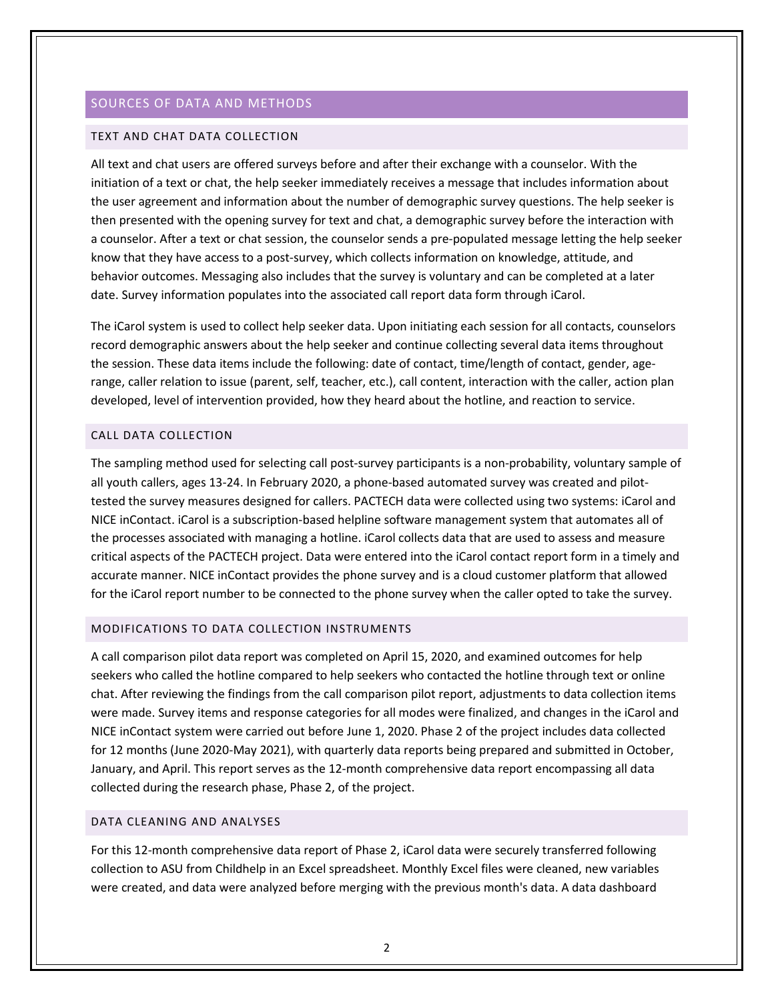# <span id="page-4-0"></span>SOURCES OF DATA AND METHODS

#### <span id="page-4-1"></span>TEXT AND CHAT DATA COLLECTION

All text and chat users are offered surveys before and after their exchange with a counselor. With the initiation of a text or chat, the help seeker immediately receives a message that includes information about the user agreement and information about the number of demographic survey questions. The help seeker is then presented with the opening survey for text and chat, a demographic survey before the interaction with a counselor. After a text or chat session, the counselor sends a pre-populated message letting the help seeker know that they have access to a post-survey, which collects information on knowledge, attitude, and behavior outcomes. Messaging also includes that the survey is voluntary and can be completed at a later date. Survey information populates into the associated call report data form through iCarol.

The iCarol system is used to collect help seeker data. Upon initiating each session for all contacts, counselors record demographic answers about the help seeker and continue collecting several data items throughout the session. These data items include the following: date of contact, time/length of contact, gender, agerange, caller relation to issue (parent, self, teacher, etc.), call content, interaction with the caller, action plan developed, level of intervention provided, how they heard about the hotline, and reaction to service.

### <span id="page-4-2"></span>CALL DATA COLLECTION

The sampling method used for selecting call post-survey participants is a non-probability, voluntary sample of all youth callers, ages 13-24. In February 2020, a phone-based automated survey was created and pilottested the survey measures designed for callers. PACTECH data were collected using two systems: iCarol and NICE inContact. iCarol is a subscription-based helpline software management system that automates all of the processes associated with managing a hotline. iCarol collects data that are used to assess and measure critical aspects of the PACTECH project. Data were entered into the iCarol contact report form in a timely and accurate manner. NICE inContact provides the phone survey and is a cloud customer platform that allowed for the iCarol report number to be connected to the phone survey when the caller opted to take the survey.

### <span id="page-4-3"></span>MODIFICATIONS TO DATA COLLECTION INSTRUMENTS

A call comparison pilot data report was completed on April 15, 2020, and examined outcomes for help seekers who called the hotline compared to help seekers who contacted the hotline through text or online chat. After reviewing the findings from the call comparison pilot report, adjustments to data collection items were made. Survey items and response categories for all modes were finalized, and changes in the iCarol and NICE inContact system were carried out before June 1, 2020. Phase 2 of the project includes data collected for 12 months (June 2020-May 2021), with quarterly data reports being prepared and submitted in October, January, and April. This report serves as the 12-month comprehensive data report encompassing all data collected during the research phase, Phase 2, of the project.

# <span id="page-4-4"></span>DATA CLEANING AND ANALYSES

For this 12-month comprehensive data report of Phase 2, iCarol data were securely transferred following collection to ASU from Childhelp in an Excel spreadsheet. Monthly Excel files were cleaned, new variables were created, and data were analyzed before merging with the previous month's data. A data dashboard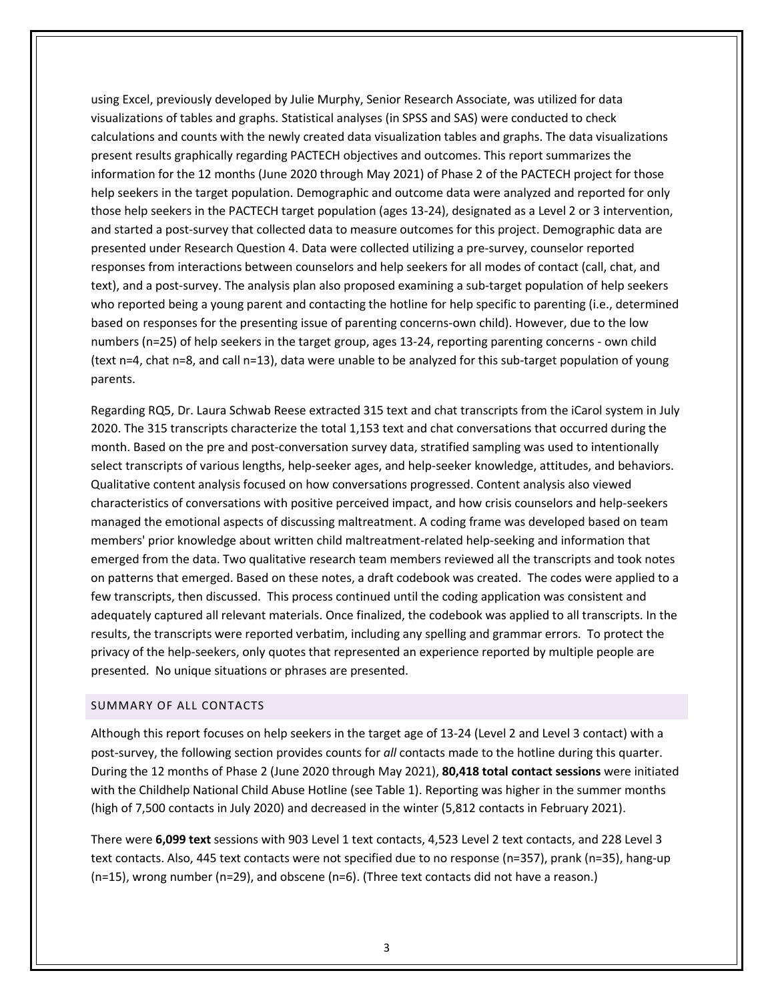using Excel, previously developed by Julie Murphy, Senior Research Associate, was utilized for data visualizations of tables and graphs. Statistical analyses (in SPSS and SAS) were conducted to check calculations and counts with the newly created data visualization tables and graphs. The data visualizations present results graphically regarding PACTECH objectives and outcomes. This report summarizes the information for the 12 months (June 2020 through May 2021) of Phase 2 of the PACTECH project for those help seekers in the target population. Demographic and outcome data were analyzed and reported for only those help seekers in the PACTECH target population (ages 13-24), designated as a Level 2 or 3 intervention, and started a post-survey that collected data to measure outcomes for this project. Demographic data are presented under Research Question 4. Data were collected utilizing a pre-survey, counselor reported responses from interactions between counselors and help seekers for all modes of contact (call, chat, and text), and a post-survey. The analysis plan also proposed examining a sub-target population of help seekers who reported being a young parent and contacting the hotline for help specific to parenting (i.e., determined based on responses for the presenting issue of parenting concerns-own child). However, due to the low numbers (n=25) of help seekers in the target group, ages 13-24, reporting parenting concerns - own child (text n=4, chat n=8, and call n=13), data were unable to be analyzed for this sub-target population of young parents.

Regarding RQ5, Dr. Laura Schwab Reese extracted 315 text and chat transcripts from the iCarol system in July 2020. The 315 transcripts characterize the total 1,153 text and chat conversations that occurred during the month. Based on the pre and post-conversation survey data, stratified sampling was used to intentionally select transcripts of various lengths, help-seeker ages, and help-seeker knowledge, attitudes, and behaviors. Qualitative content analysis focused on how conversations progressed. Content analysis also viewed characteristics of conversations with positive perceived impact, and how crisis counselors and help-seekers managed the emotional aspects of discussing maltreatment. A coding frame was developed based on team members' prior knowledge about written child maltreatment-related help-seeking and information that emerged from the data. Two qualitative research team members reviewed all the transcripts and took notes on patterns that emerged. Based on these notes, a draft codebook was created. The codes were applied to a few transcripts, then discussed. This process continued until the coding application was consistent and adequately captured all relevant materials. Once finalized, the codebook was applied to all transcripts. In the results, the transcripts were reported verbatim, including any spelling and grammar errors. To protect the privacy of the help-seekers, only quotes that represented an experience reported by multiple people are presented. No unique situations or phrases are presented.

## <span id="page-5-0"></span>SUMMARY OF ALL CONTACTS

Although this report focuses on help seekers in the target age of 13-24 (Level 2 and Level 3 contact) with a post-survey, the following section provides counts for *all* contacts made to the hotline during this quarter. During the 12 months of Phase 2 (June 2020 through May 2021), **80,418 total contact sessions** were initiated with the Childhelp National Child Abuse Hotline (see Table 1). Reporting was higher in the summer months (high of 7,500 contacts in July 2020) and decreased in the winter (5,812 contacts in February 2021).

There were **6,099 text** sessions with 903 Level 1 text contacts, 4,523 Level 2 text contacts, and 228 Level 3 text contacts. Also, 445 text contacts were not specified due to no response (n=357), prank (n=35), hang-up (n=15), wrong number (n=29), and obscene (n=6). (Three text contacts did not have a reason.)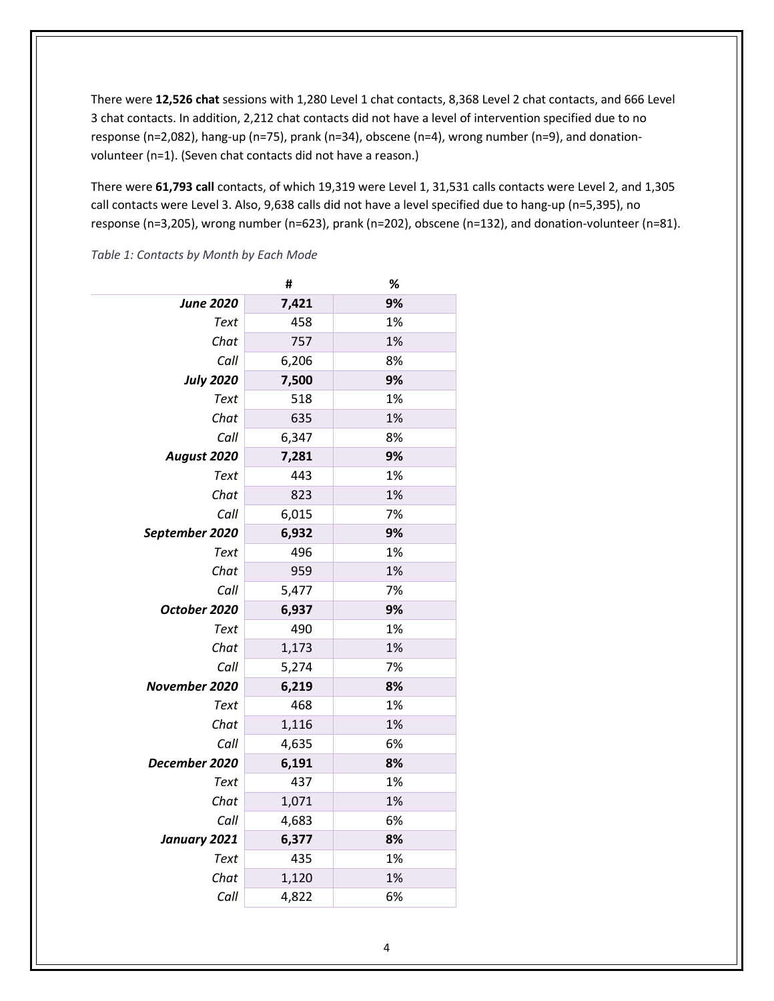There were **12,526 chat** sessions with 1,280 Level 1 chat contacts, 8,368 Level 2 chat contacts, and 666 Level 3 chat contacts. In addition, 2,212 chat contacts did not have a level of intervention specified due to no response (n=2,082), hang-up (n=75), prank (n=34), obscene (n=4), wrong number (n=9), and donationvolunteer (n=1). (Seven chat contacts did not have a reason.)

There were **61,793 call** contacts, of which 19,319 were Level 1, 31,531 calls contacts were Level 2, and 1,305 call contacts were Level 3. Also, 9,638 calls did not have a level specified due to hang-up (n=5,395), no response (n=3,205), wrong number (n=623), prank (n=202), obscene (n=132), and donation-volunteer (n=81).

**# %** *June 2020* **7,421 9%** *Text* 458 1% *Chat* 757 1% *Call* 6,206 8% *July 2020* **7,500 9%** *Text* 518 1% *Chat* 635 1% *Call* 6,347 8% *August 2020* **7,281 9%** *Text* 443 1% *Chat* 823 1% *Call* 6,015 7% *September 2020* **6,932 9%** *Text* 496 1% *Chat* 959 1% *Call* 5,477 7% *October 2020* **6,937 9%** *Text* 490 1% *Chat* 1,173 1% *Call* 5,274 7% *November 2020* **6,219 8%** *Text* 468 1% *Chat* 1,116 1% *Call* 4,635 6% *December 2020* **6,191 8%** *Text* 437 1% *Chat* 1,071 1% *Call* 4,683 6% *January 2021* **6,377 8%** *Text* 435 1% *Chat* 1,120 1% *Call* 4,822 6%

<span id="page-6-0"></span>*Table 1: Contacts by Month by Each Mode*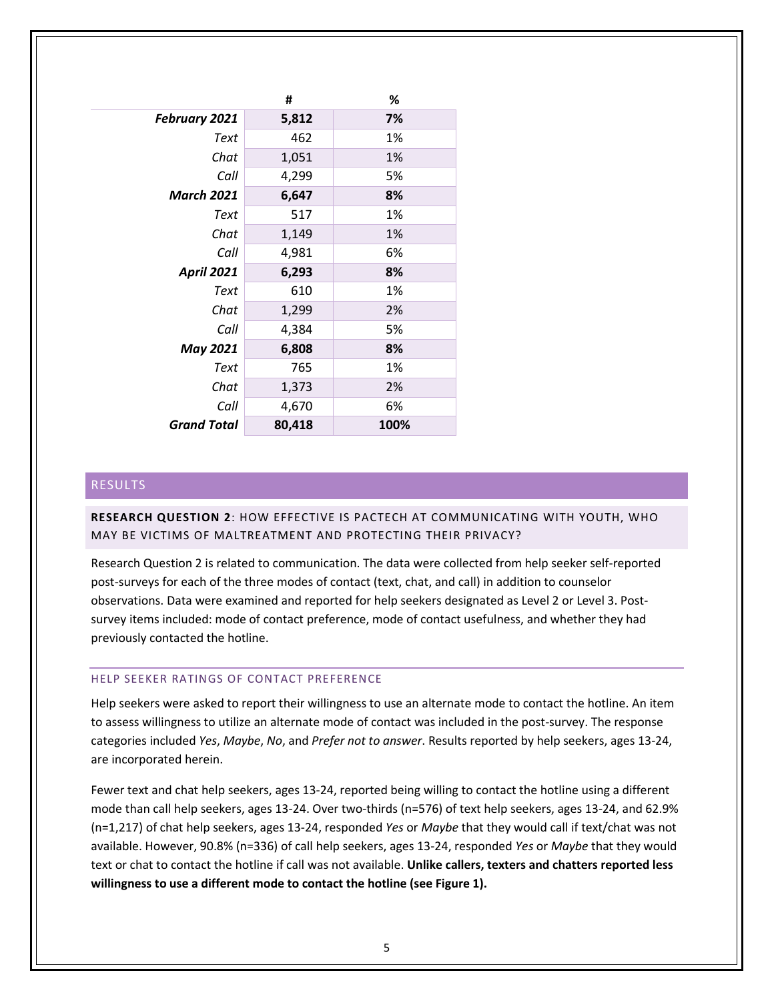|                      | #      | %    |
|----------------------|--------|------|
| <b>February 2021</b> | 5,812  | 7%   |
| Text                 | 462    | 1%   |
| Chat                 | 1,051  | 1%   |
| Call                 | 4,299  | 5%   |
| <b>March 2021</b>    | 6,647  | 8%   |
| Text                 | 517    | 1%   |
| Chat                 | 1,149  | 1%   |
| Call                 | 4,981  | 6%   |
| <b>April 2021</b>    | 6,293  | 8%   |
| Text                 | 610    | 1%   |
| Chat                 | 1,299  | 2%   |
| Call                 | 4,384  | 5%   |
| <b>May 2021</b>      | 6,808  | 8%   |
| Text                 | 765    | 1%   |
| Chat                 | 1,373  | 2%   |
| Call                 | 4,670  | 6%   |
| <b>Grand Total</b>   | 80,418 | 100% |

# <span id="page-7-0"></span>RESULTS

# <span id="page-7-1"></span>**RESEARCH QUESTION 2**: HOW EFFECTIVE IS PACTECH AT COMMUNICATING WITH YOUTH, WHO MAY BE VICTIMS OF MALTREATMENT AND PROTECTING THEIR PRIVACY?

Research Question 2 is related to communication. The data were collected from help seeker self-reported post-surveys for each of the three modes of contact (text, chat, and call) in addition to counselor observations. Data were examined and reported for help seekers designated as Level 2 or Level 3. Postsurvey items included: mode of contact preference, mode of contact usefulness, and whether they had previously contacted the hotline.

#### <span id="page-7-2"></span>HELP SEEKER RATINGS OF CONTACT PREFERENCE

Help seekers were asked to report their willingness to use an alternate mode to contact the hotline. An item to assess willingness to utilize an alternate mode of contact was included in the post-survey. The response categories included *Yes*, *Maybe*, *No*, and *Prefer not to answer*. Results reported by help seekers, ages 13-24, are incorporated herein.

Fewer text and chat help seekers, ages 13-24, reported being willing to contact the hotline using a different mode than call help seekers, ages 13-24. Over two-thirds (n=576) of text help seekers, ages 13-24, and 62.9% (n=1,217) of chat help seekers, ages 13-24, responded *Yes* or *Maybe* that they would call if text/chat was not available. However, 90.8% (n=336) of call help seekers, ages 13-24, responded *Yes* or *Maybe* that they would text or chat to contact the hotline if call was not available. **Unlike callers, texters and chatters reported less willingness to use a different mode to contact the hotline (see Figure 1).**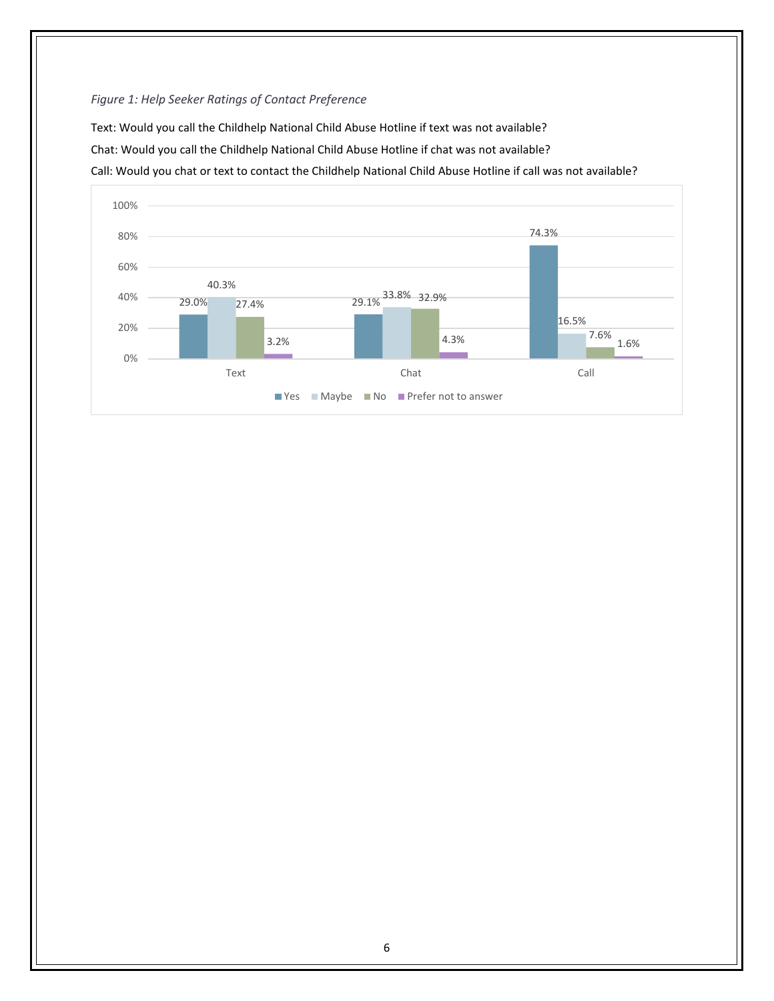# *Figure 1: Help Seeker Ratings of Contact Preference*

Text: Would you call the Childhelp National Child Abuse Hotline if text was not available? Chat: Would you call the Childhelp National Child Abuse Hotline if chat was not available? Call: Would you chat or text to contact the Childhelp National Child Abuse Hotline if call was not available?

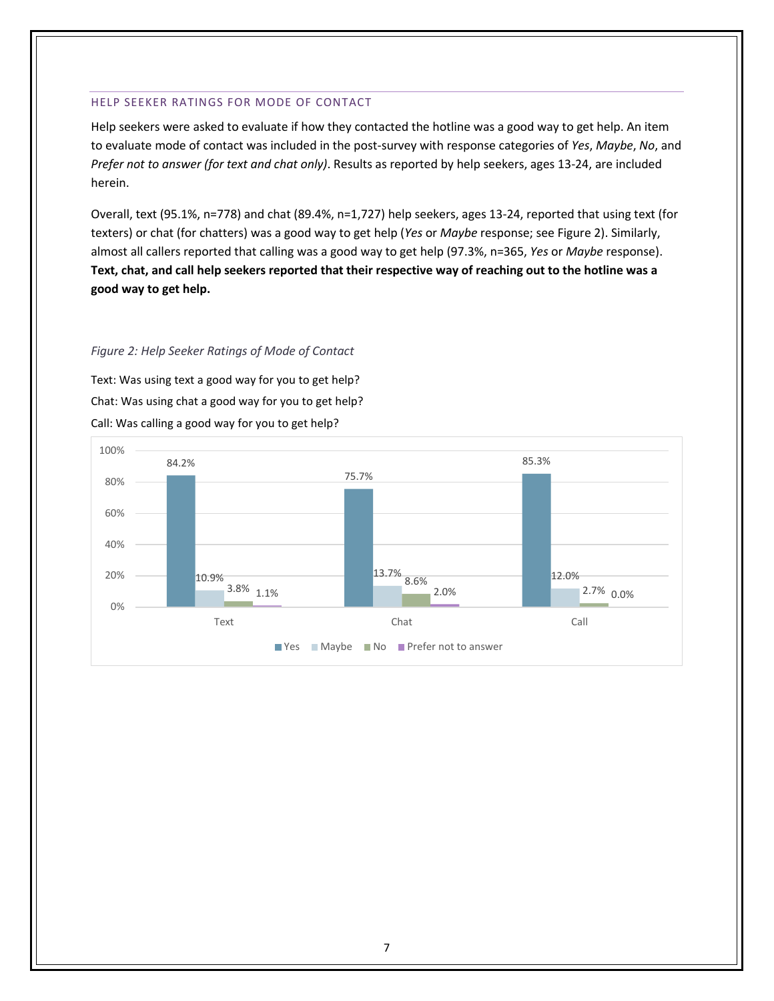#### <span id="page-9-0"></span>HELP SEEKER RATINGS FOR MODE OF CONTACT

Help seekers were asked to evaluate if how they contacted the hotline was a good way to get help. An item to evaluate mode of contact was included in the post-survey with response categories of *Yes*, *Maybe*, *No*, and *Prefer not to answer (for text and chat only)*. Results as reported by help seekers, ages 13-24, are included herein.

Overall, text (95.1%, n=778) and chat (89.4%, n=1,727) help seekers, ages 13-24, reported that using text (for texters) or chat (for chatters) was a good way to get help (*Yes* or *Maybe* response; see Figure 2). Similarly, almost all callers reported that calling was a good way to get help (97.3%, n=365, *Yes* or *Maybe* response). **Text, chat, and call help seekers reported that their respective way of reaching out to the hotline was a good way to get help.**

### *Figure 2: Help Seeker Ratings of Mode of Contact*

Text: Was using text a good way for you to get help? Chat: Was using chat a good way for you to get help? Call: Was calling a good way for you to get help?

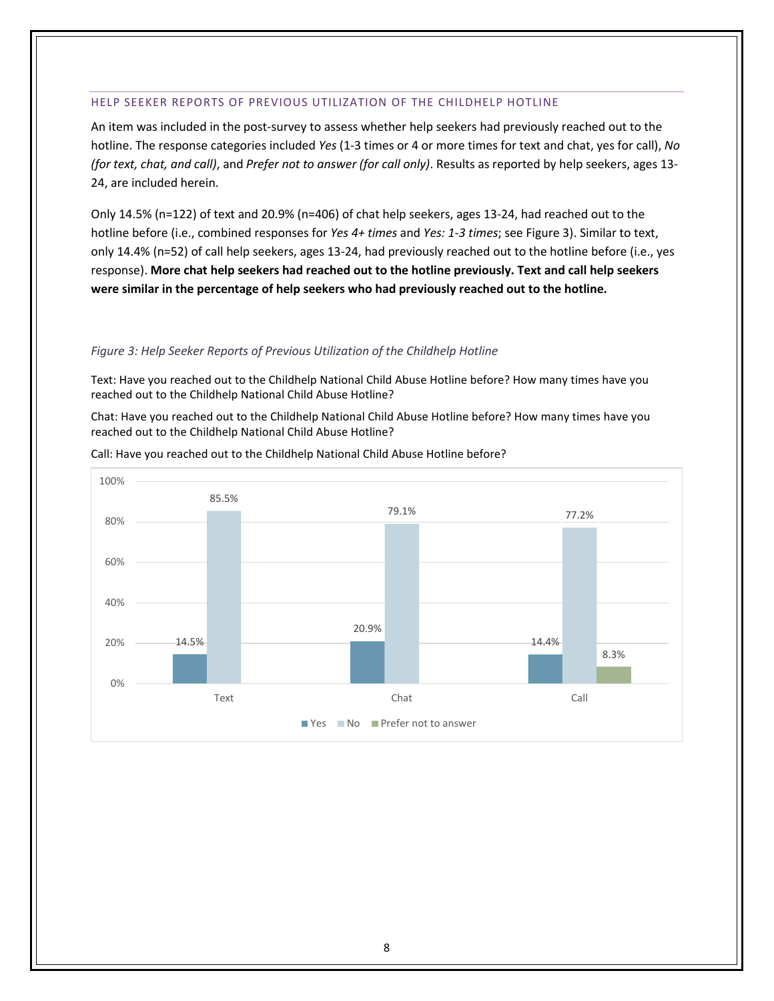#### <span id="page-10-0"></span>HELP SEEKER REPORTS OF PREVIOUS UTILIZATION OF THE CHILDHELP HOTLINE

An item was included in the post-survey to assess whether help seekers had previously reached out to the hotline. The response categories included *Yes* (1-3 times or 4 or more times for text and chat, yes for call), *No (for text, chat, and call)*, and *Prefer not to answer (for call only)*. Results as reported by help seekers, ages 13- 24, are included herein.

Only 14.5% (n=122) of text and 20.9% (n=406) of chat help seekers, ages 13-24, had reached out to the hotline before (i.e., combined responses for *Yes 4+ times* and *Yes: 1-3 times*; see Figure 3). Similar to text, only 14.4% (n=52) of call help seekers, ages 13-24, had previously reached out to the hotline before (i.e., yes response). **More chat help seekers had reached out to the hotline previously. Text and call help seekers were similar in the percentage of help seekers who had previously reached out to the hotline.**

#### *Figure 3: Help Seeker Reports of Previous Utilization of the Childhelp Hotline*

Text: Have you reached out to the Childhelp National Child Abuse Hotline before? How many times have you reached out to the Childhelp National Child Abuse Hotline?

Chat: Have you reached out to the Childhelp National Child Abuse Hotline before? How many times have you reached out to the Childhelp National Child Abuse Hotline?



Call: Have you reached out to the Childhelp National Child Abuse Hotline before?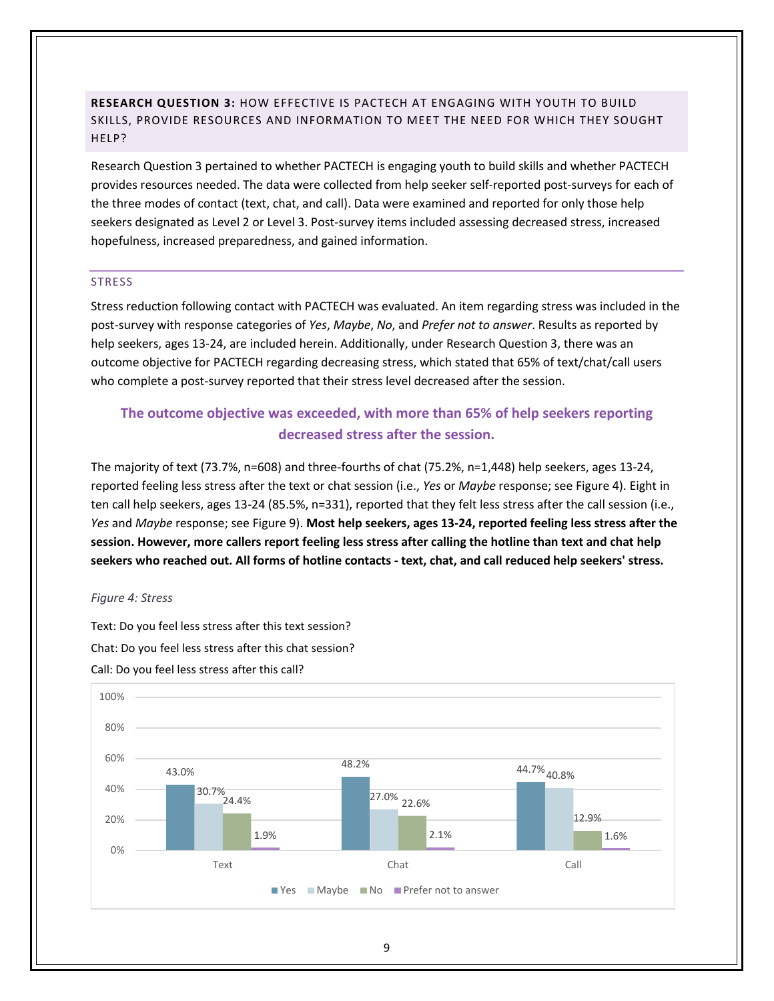<span id="page-11-0"></span>**RESEARCH QUESTION 3:** HOW EFFECTIVE IS PACTECH AT ENGAGING WITH YOUTH TO BUILD SKILLS, PROVIDE RESOURCES AND INFORMATION TO MEET THE NEED FOR WHICH THEY SOUGHT HELP?

Research Question 3 pertained to whether PACTECH is engaging youth to build skills and whether PACTECH provides resources needed. The data were collected from help seeker self-reported post-surveys for each of the three modes of contact (text, chat, and call). Data were examined and reported for only those help seekers designated as Level 2 or Level 3. Post-survey items included assessing decreased stress, increased hopefulness, increased preparedness, and gained information.

#### <span id="page-11-1"></span>**STRESS**

Stress reduction following contact with PACTECH was evaluated. An item regarding stress was included in the post-survey with response categories of *Yes*, *Maybe*, *No*, and *Prefer not to answer*. Results as reported by help seekers, ages 13-24, are included herein. Additionally, under Research Question 3, there was an outcome objective for PACTECH regarding decreasing stress, which stated that 65% of text/chat/call users who complete a post-survey reported that their stress level decreased after the session.

# **The outcome objective was exceeded, with more than 65% of help seekers reporting decreased stress after the session.**

The majority of text (73.7%, n=608) and three-fourths of chat (75.2%, n=1,448) help seekers, ages 13-24, reported feeling less stress after the text or chat session (i.e., *Yes* or *Maybe* response; see Figure 4). Eight in ten call help seekers, ages 13-24 (85.5%, n=331), reported that they felt less stress after the call session (i.e., *Yes* and *Maybe* response; see Figure 9). **Most help seekers, ages 13-24, reported feeling less stress after the session. However, more callers report feeling less stress after calling the hotline than text and chat help seekers who reached out. All forms of hotline contacts - text, chat, and call reduced help seekers' stress.** 

#### *Figure 4: Stress*

Text: Do you feel less stress after this text session? Chat: Do you feel less stress after this chat session? Call: Do you feel less stress after this call?

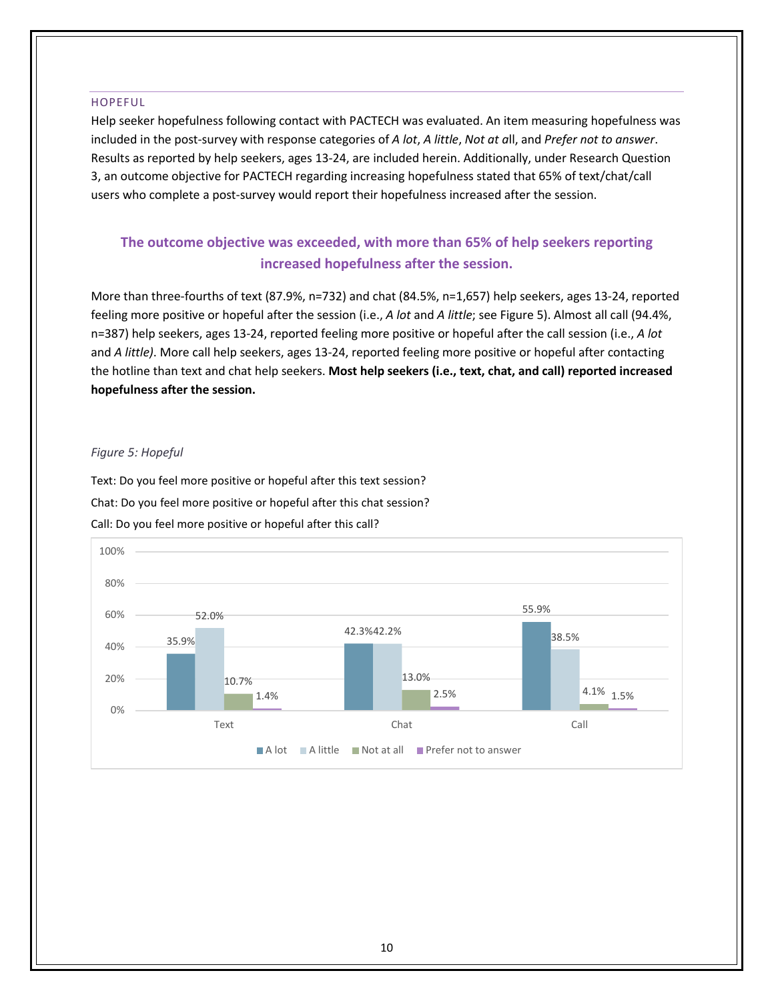#### <span id="page-12-0"></span>HOPEFUL

Help seeker hopefulness following contact with PACTECH was evaluated. An item measuring hopefulness was included in the post-survey with response categories of *A lot*, *A little*, *Not at a*ll, and *Prefer not to answer*. Results as reported by help seekers, ages 13-24, are included herein. Additionally, under Research Question 3, an outcome objective for PACTECH regarding increasing hopefulness stated that 65% of text/chat/call users who complete a post-survey would report their hopefulness increased after the session.

# **The outcome objective was exceeded, with more than 65% of help seekers reporting increased hopefulness after the session.**

More than three-fourths of text (87.9%, n=732) and chat (84.5%, n=1,657) help seekers, ages 13-24, reported feeling more positive or hopeful after the session (i.e., *A lot* and *A little*; see Figure 5). Almost all call (94.4%, n=387) help seekers, ages 13-24, reported feeling more positive or hopeful after the call session (i.e., *A lot*  and *A little)*. More call help seekers, ages 13-24, reported feeling more positive or hopeful after contacting the hotline than text and chat help seekers. **Most help seekers (i.e., text, chat, and call) reported increased hopefulness after the session.**

#### *Figure 5: Hopeful*

Text: Do you feel more positive or hopeful after this text session? Chat: Do you feel more positive or hopeful after this chat session? Call: Do you feel more positive or hopeful after this call?

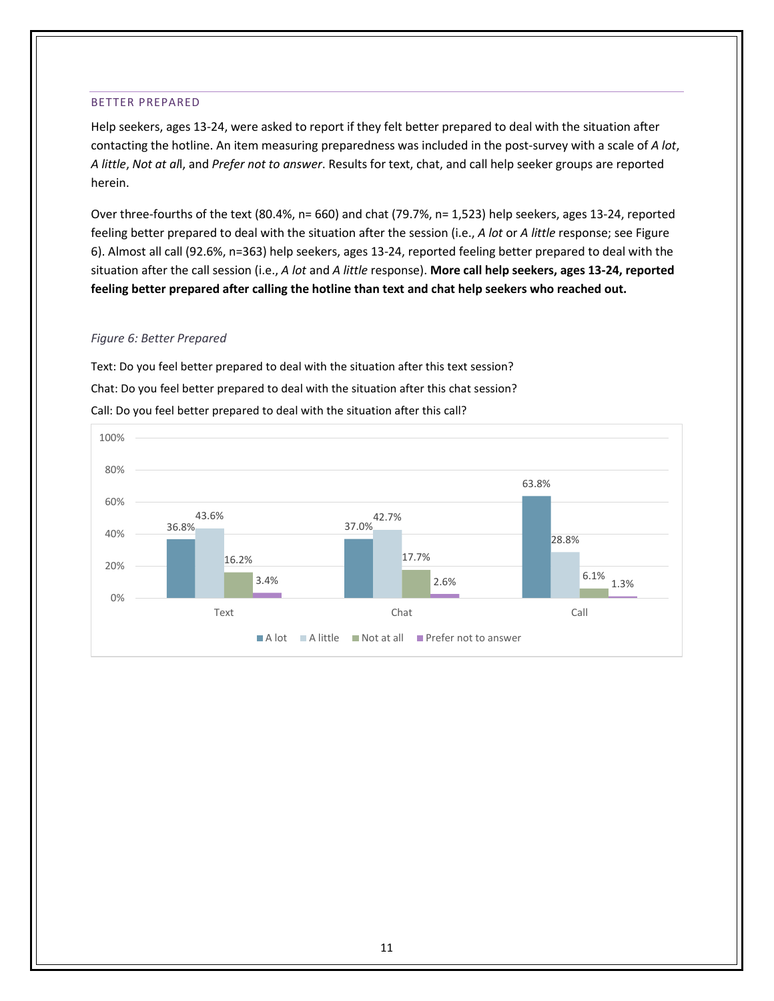#### <span id="page-13-0"></span>BETTER PREPARED

Help seekers, ages 13-24, were asked to report if they felt better prepared to deal with the situation after contacting the hotline. An item measuring preparedness was included in the post-survey with a scale of *A lot*, *A little*, *Not at al*l, and *Prefer not to answer*. Results for text, chat, and call help seeker groups are reported herein.

Over three-fourths of the text (80.4%, n= 660) and chat (79.7%, n= 1,523) help seekers, ages 13-24, reported feeling better prepared to deal with the situation after the session (i.e., *A lot* or *A little* response; see Figure 6). Almost all call (92.6%, n=363) help seekers, ages 13-24, reported feeling better prepared to deal with the situation after the call session (i.e., *A lot* and *A little* response). **More call help seekers, ages 13-24, reported feeling better prepared after calling the hotline than text and chat help seekers who reached out.** 

#### *Figure 6: Better Prepared*

Text: Do you feel better prepared to deal with the situation after this text session? Chat: Do you feel better prepared to deal with the situation after this chat session? Call: Do you feel better prepared to deal with the situation after this call?

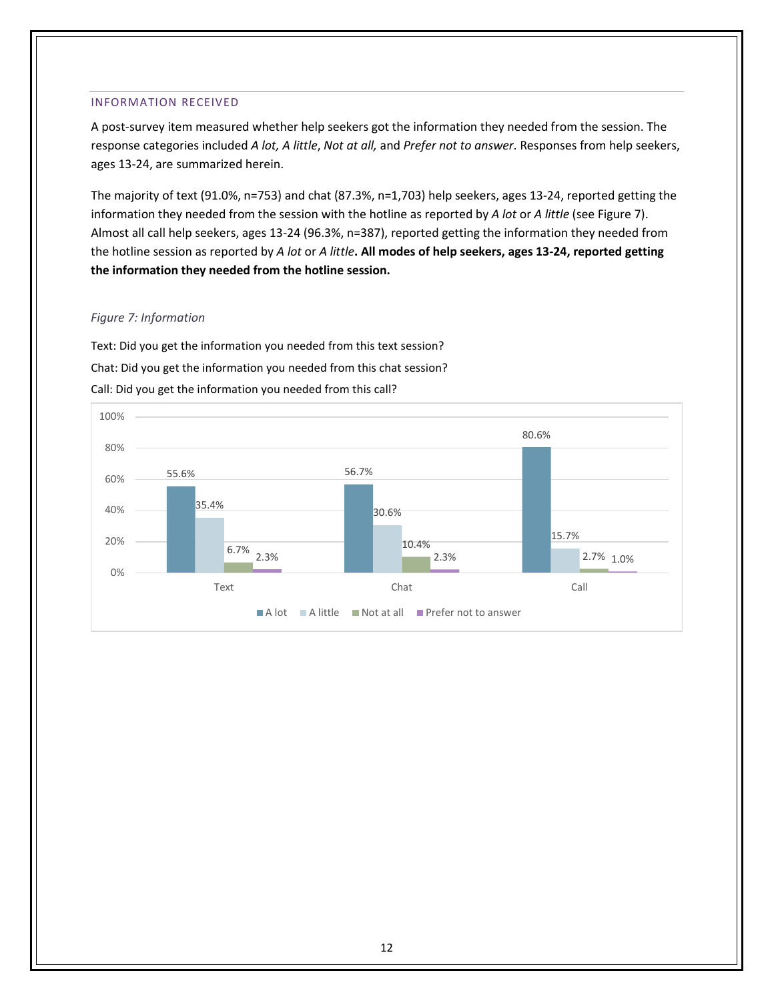#### <span id="page-14-0"></span>INFORMATION RECEIVED

A post-survey item measured whether help seekers got the information they needed from the session. The response categories included *A lot, A little*, *Not at all,* and *Prefer not to answer*. Responses from help seekers, ages 13-24, are summarized herein.

The majority of text (91.0%, n=753) and chat (87.3%, n=1,703) help seekers, ages 13-24, reported getting the information they needed from the session with the hotline as reported by *A lot* or *A little* (see Figure 7). Almost all call help seekers, ages 13-24 (96.3%, n=387), reported getting the information they needed from the hotline session as reported by *A lot* or *A little***. All modes of help seekers, ages 13-24, reported getting the information they needed from the hotline session.**

### *Figure 7: Information*

Text: Did you get the information you needed from this text session? Chat: Did you get the information you needed from this chat session? Call: Did you get the information you needed from this call?

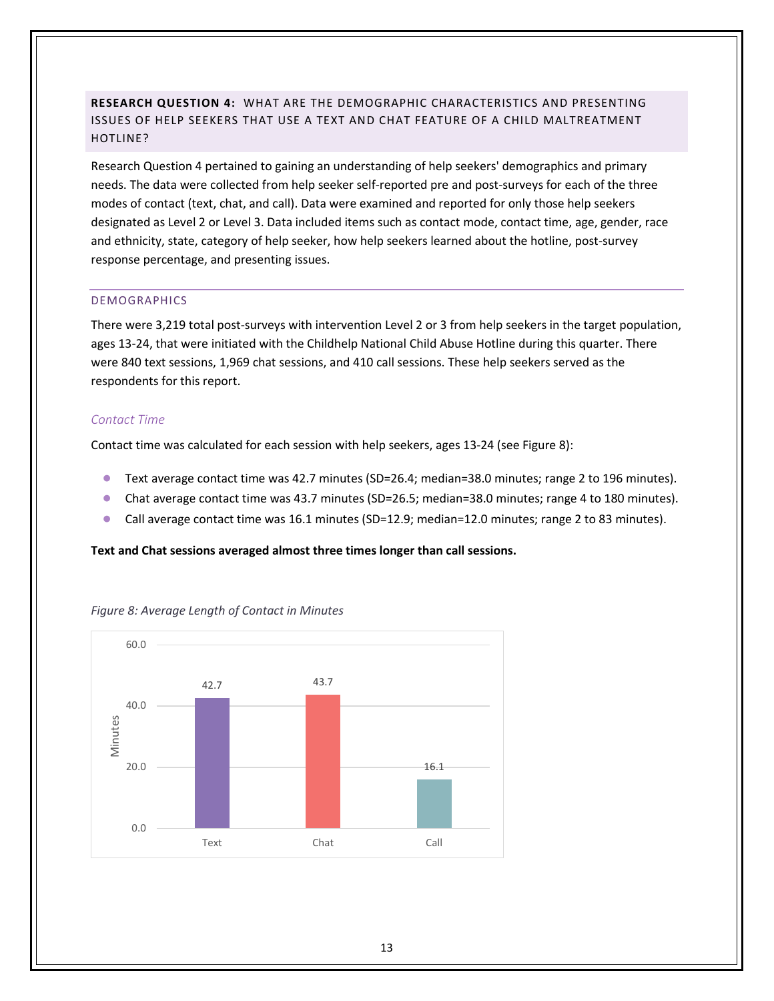# <span id="page-15-0"></span>**RESEARCH QUESTION 4:** WHAT ARE THE DEMOGRAPHIC CHARACTERISTICS AND PRESENTING ISSUES OF HELP SEEKERS THAT USE A TEXT AND CHAT FEATURE OF A CHILD MALTREATMENT HOTLINE?

Research Question 4 pertained to gaining an understanding of help seekers' demographics and primary needs. The data were collected from help seeker self-reported pre and post-surveys for each of the three modes of contact (text, chat, and call). Data were examined and reported for only those help seekers designated as Level 2 or Level 3. Data included items such as contact mode, contact time, age, gender, race and ethnicity, state, category of help seeker, how help seekers learned about the hotline, post-survey response percentage, and presenting issues.

### <span id="page-15-1"></span>DEMOGRAPHICS

There were 3,219 total post-surveys with intervention Level 2 or 3 from help seekers in the target population, ages 13-24, that were initiated with the Childhelp National Child Abuse Hotline during this quarter. There were 840 text sessions, 1,969 chat sessions, and 410 call sessions. These help seekers served as the respondents for this report.

### <span id="page-15-2"></span>*Contact Time*

Contact time was calculated for each session with help seekers, ages 13-24 (see Figure 8):

- Text average contact time was 42.7 minutes (SD=26.4; median=38.0 minutes; range 2 to 196 minutes).
- Chat average contact time was 43.7 minutes (SD=26.5; median=38.0 minutes; range 4 to 180 minutes).
- Call average contact time was 16.1 minutes (SD=12.9; median=12.0 minutes; range 2 to 83 minutes).

#### **Text and Chat sessions averaged almost three times longer than call sessions.**



*Figure 8: Average Length of Contact in Minutes*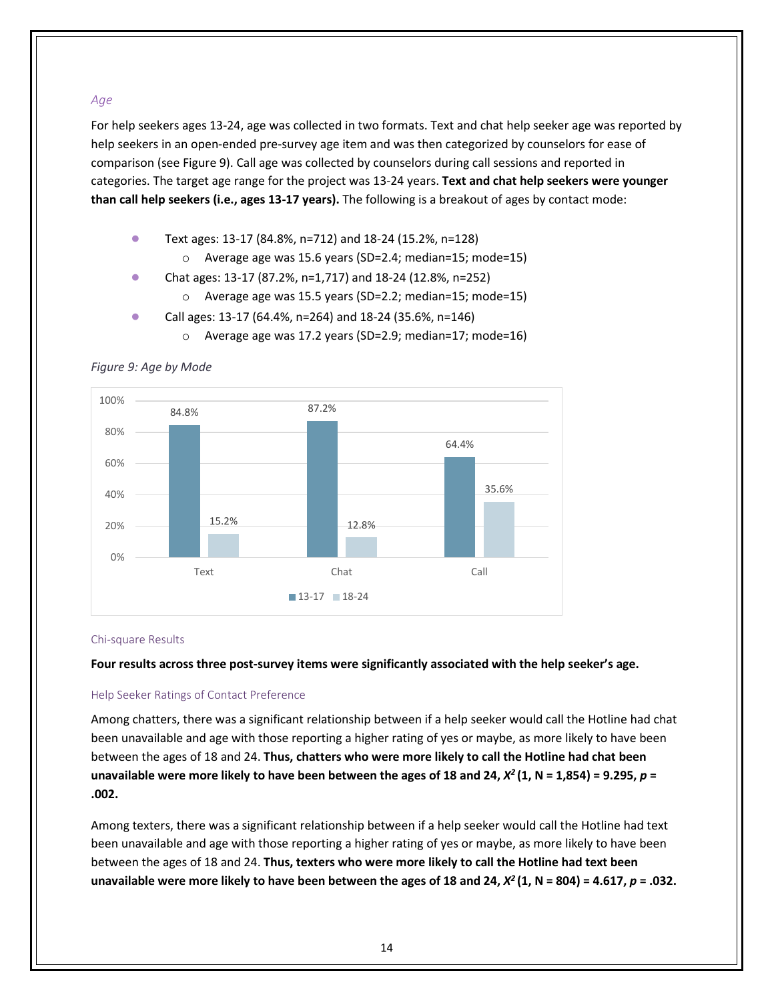# <span id="page-16-0"></span>*Age*

For help seekers ages 13-24, age was collected in two formats. Text and chat help seeker age was reported by help seekers in an open-ended pre-survey age item and was then categorized by counselors for ease of comparison (see Figure 9). Call age was collected by counselors during call sessions and reported in categories. The target age range for the project was 13-24 years. **Text and chat help seekers were younger than call help seekers (i.e., ages 13-17 years).** The following is a breakout of ages by contact mode:

- Text ages: 13-17 (84.8%, n=712) and 18-24 (15.2%, n=128)
	- o Average age was 15.6 years (SD=2.4; median=15; mode=15)
- Chat ages: 13-17 (87.2%, n=1,717) and 18-24 (12.8%, n=252)
	- o Average age was 15.5 years (SD=2.2; median=15; mode=15)
- Call ages: 13-17 (64.4%, n=264) and 18-24 (35.6%, n=146)
	- o Average age was 17.2 years (SD=2.9; median=17; mode=16)

84.8% 87.2% 64.4% 15.2% 12.8% 35.6% 0% 20% 40% 60% 80% 100% Text Chat Chat Call 13-17 18-24

# *Figure 9: Age by Mode*

### Chi-square Results

**Four results across three post-survey items were significantly associated with the help seeker's age.**

### Help Seeker Ratings of Contact Preference

Among chatters, there was a significant relationship between if a help seeker would call the Hotline had chat been unavailable and age with those reporting a higher rating of yes or maybe, as more likely to have been between the ages of 18 and 24. **Thus, chatters who were more likely to call the Hotline had chat been**  unavailable were more likely to have been between the ages of 18 and 24,  $X^2$  (1, N = 1,854) = 9.295,  $p =$ **.002.**

Among texters, there was a significant relationship between if a help seeker would call the Hotline had text been unavailable and age with those reporting a higher rating of yes or maybe, as more likely to have been between the ages of 18 and 24. **Thus, texters who were more likely to call the Hotline had text been**  unavailable were more likely to have been between the ages of 18 and 24,  $X^2(1, N = 804) = 4.617$ ,  $p = .032$ .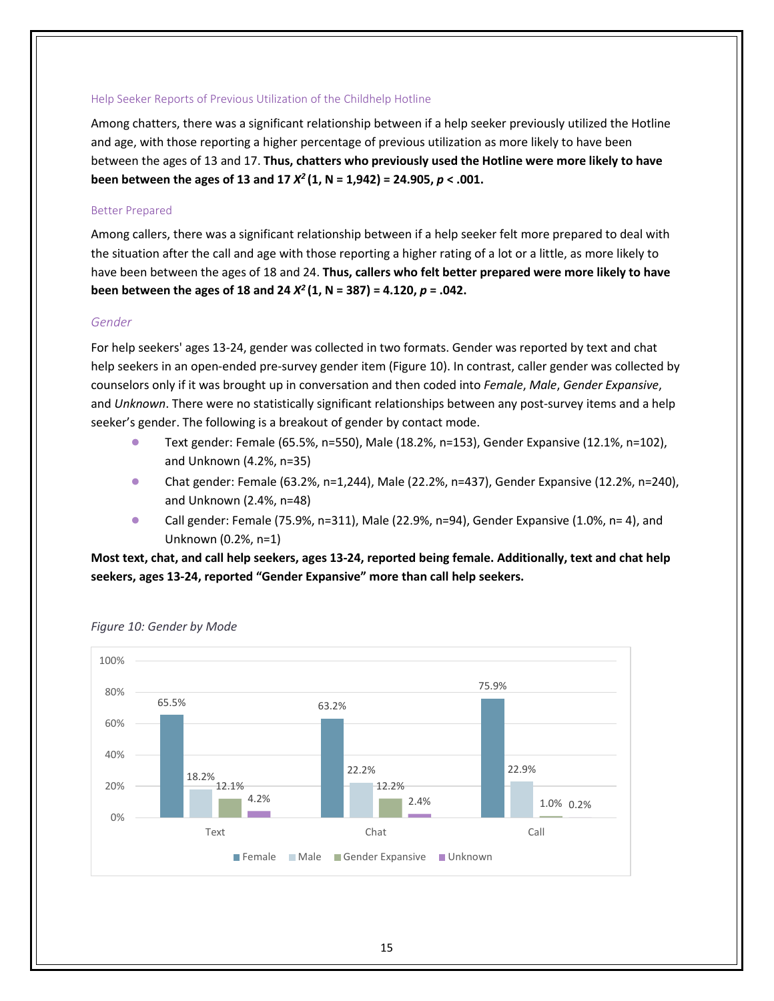#### Help Seeker Reports of Previous Utilization of the Childhelp Hotline

Among chatters, there was a significant relationship between if a help seeker previously utilized the Hotline and age, with those reporting a higher percentage of previous utilization as more likely to have been between the ages of 13 and 17. **Thus, chatters who previously used the Hotline were more likely to have been between the ages of 13 and 17**  $X^2$  **(1, N = 1,942) = 24.905,**  $p < .001$ **.** 

#### Better Prepared

Among callers, there was a significant relationship between if a help seeker felt more prepared to deal with the situation after the call and age with those reporting a higher rating of a lot or a little, as more likely to have been between the ages of 18 and 24. **Thus, callers who felt better prepared were more likely to have been between the ages of 18 and 24** *X2* **(1, N = 387) = 4.120,** *p* **= .042.**

#### <span id="page-17-0"></span>*Gender*

For help seekers' ages 13-24, gender was collected in two formats. Gender was reported by text and chat help seekers in an open-ended pre-survey gender item (Figure 10). In contrast, caller gender was collected by counselors only if it was brought up in conversation and then coded into *Female*, *Male*, *Gender Expansive*, and *Unknown*. There were no statistically significant relationships between any post-survey items and a help seeker's gender. The following is a breakout of gender by contact mode.

- Text gender: Female (65.5%, n=550), Male (18.2%, n=153), Gender Expansive (12.1%, n=102), and Unknown (4.2%, n=35)
- Chat gender: Female (63.2%, n=1,244), Male (22.2%, n=437), Gender Expansive (12.2%, n=240), and Unknown (2.4%, n=48)
- **Call gender: Female (75.9%, n=311), Male (22.9%, n=94), Gender Expansive (1.0%, n=4), and** Unknown (0.2%, n=1)

**Most text, chat, and call help seekers, ages 13-24, reported being female. Additionally, text and chat help seekers, ages 13-24, reported "Gender Expansive" more than call help seekers.** 



*Figure 10: Gender by Mode*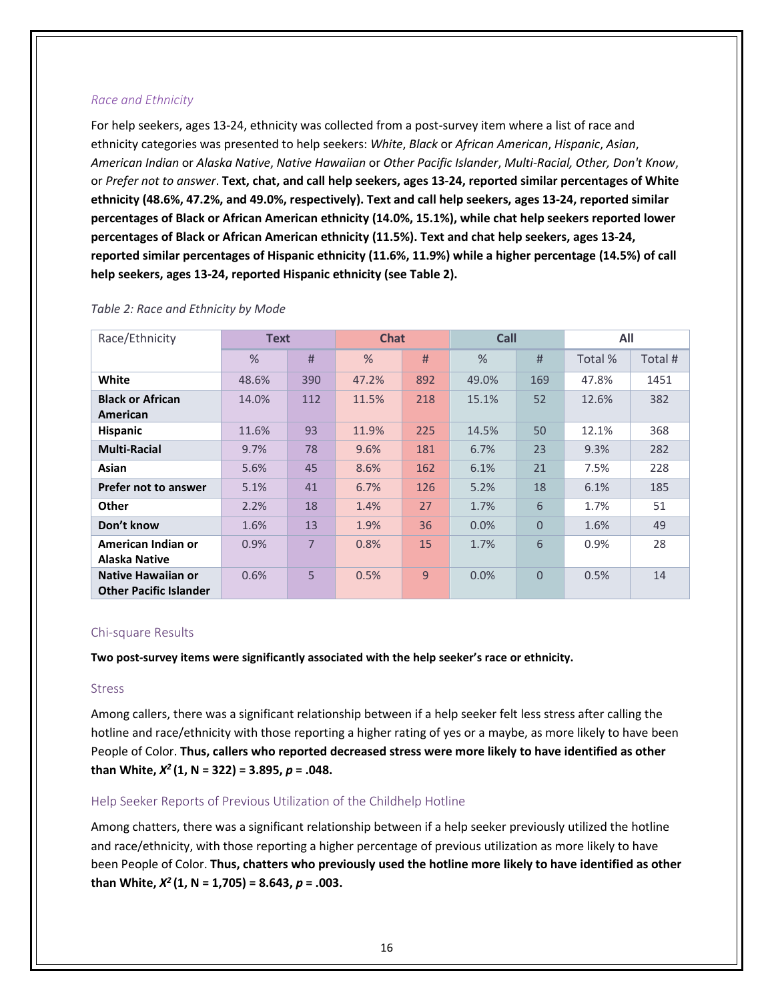# <span id="page-18-0"></span>*Race and Ethnicity*

For help seekers, ages 13-24, ethnicity was collected from a post-survey item where a list of race and ethnicity categories was presented to help seekers: *White*, *Black* or *African American*, *Hispanic*, *Asian*, *American Indian* or *Alaska Native*, *Native Hawaiian* or *Other Pacific Islander*, *Multi-Racial, Other, Don't Know*, or *Prefer not to answer*. **Text, chat, and call help seekers, ages 13-24, reported similar percentages of White ethnicity (48.6%, 47.2%, and 49.0%, respectively). Text and call help seekers, ages 13-24, reported similar percentages of Black or African American ethnicity (14.0%, 15.1%), while chat help seekers reported lower percentages of Black or African American ethnicity (11.5%). Text and chat help seekers, ages 13-24, reported similar percentages of Hispanic ethnicity (11.6%, 11.9%) while a higher percentage (14.5%) of call help seekers, ages 13-24, reported Hispanic ethnicity (see Table 2).** 

| Race/Ethnicity                                      |               | <b>Text</b> |               | <b>Chat</b>    |       | Call           |         | All     |  |
|-----------------------------------------------------|---------------|-------------|---------------|----------------|-------|----------------|---------|---------|--|
|                                                     | $\frac{9}{6}$ | #           | $\frac{0}{0}$ | #              | $\%$  | #              | Total % | Total # |  |
| White                                               | 48.6%         | 390         | 47.2%         | 892            | 49.0% | 169            | 47.8%   | 1451    |  |
| <b>Black or African</b><br>American                 | 14.0%         | 112         | 11.5%         | 218            | 15.1% | 52             | 12.6%   | 382     |  |
| <b>Hispanic</b>                                     | 11.6%         | 93          | 11.9%         | 225            | 14.5% | 50             | 12.1%   | 368     |  |
| <b>Multi-Racial</b>                                 | 9.7%          | 78          | 9.6%          | 181            | 6.7%  | 23             | 9.3%    | 282     |  |
| Asian                                               | 5.6%          | 45          | 8.6%          | 162            | 6.1%  | 21             | 7.5%    | 228     |  |
| <b>Prefer not to answer</b>                         | 5.1%          | 41          | 6.7%          | 126            | 5.2%  | 18             | 6.1%    | 185     |  |
| <b>Other</b>                                        | 2.2%          | 18          | 1.4%          | 27             | 1.7%  | 6              | 1.7%    | 51      |  |
| Don't know                                          | 1.6%          | 13          | 1.9%          | 36             | 0.0%  | $\overline{0}$ | 1.6%    | 49      |  |
| American Indian or<br>Alaska Native                 | 0.9%          | 7           | 0.8%          | 15             | 1.7%  | 6              | 0.9%    | 28      |  |
| Native Hawaiian or<br><b>Other Pacific Islander</b> | 0.6%          | 5           | 0.5%          | $\overline{9}$ | 0.0%  | $\Omega$       | 0.5%    | 14      |  |

### <span id="page-18-1"></span>*Table 2: Race and Ethnicity by Mode*

### Chi-square Results

**Two post-survey items were significantly associated with the help seeker's race or ethnicity.**

### Stress

Among callers, there was a significant relationship between if a help seeker felt less stress after calling the hotline and race/ethnicity with those reporting a higher rating of yes or a maybe, as more likely to have been People of Color. **Thus, callers who reported decreased stress were more likely to have identified as other than White,** *X2* **(1, N = 322) = 3.895,** *p* **= .048.**

### Help Seeker Reports of Previous Utilization of the Childhelp Hotline

Among chatters, there was a significant relationship between if a help seeker previously utilized the hotline and race/ethnicity, with those reporting a higher percentage of previous utilization as more likely to have been People of Color. **Thus, chatters who previously used the hotline more likely to have identified as other than White,** *X2* **(1, N = 1,705) = 8.643,** *p* **= .003.**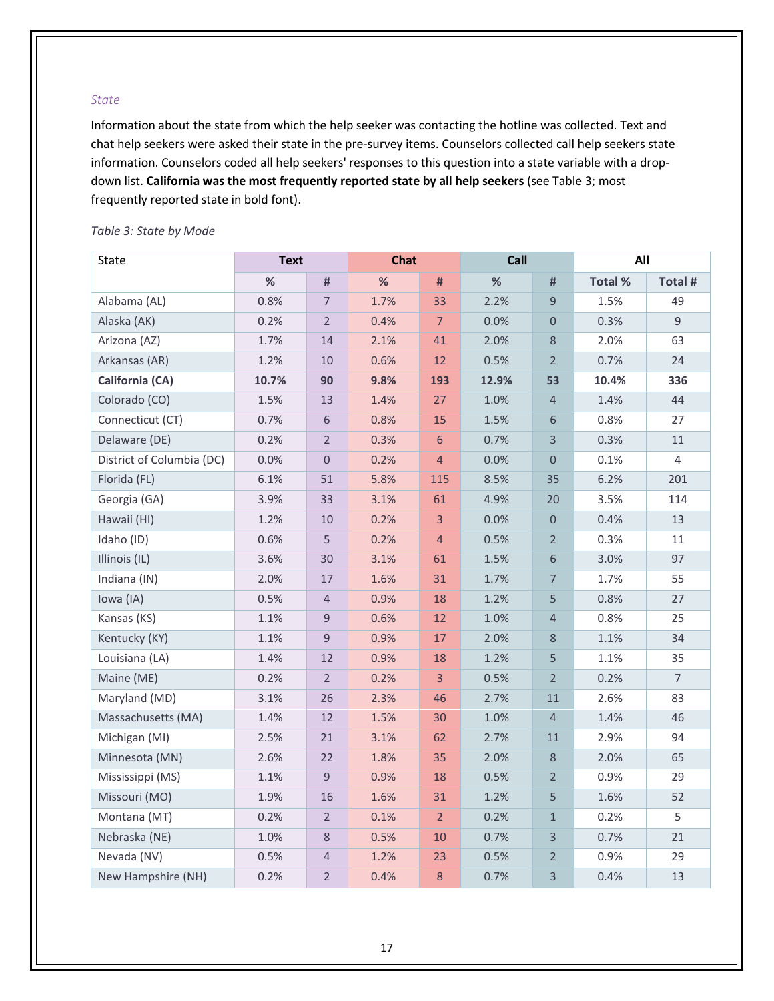#### <span id="page-19-0"></span>*State*

Information about the state from which the help seeker was contacting the hotline was collected. Text and chat help seekers were asked their state in the pre-survey items. Counselors collected call help seekers state information. Counselors coded all help seekers' responses to this question into a state variable with a dropdown list. **California was the most frequently reported state by all help seekers** (see Table 3; most frequently reported state in bold font).

| State                     | <b>Text</b> |                | <b>Chat</b> |                | Call  |                | All     |                |
|---------------------------|-------------|----------------|-------------|----------------|-------|----------------|---------|----------------|
|                           | %           | #              | $\%$        | #              | $\%$  | $\#$           | Total % | Total #        |
| Alabama (AL)              | 0.8%        | $\overline{7}$ | 1.7%        | 33             | 2.2%  | $\mathsf 9$    | 1.5%    | 49             |
| Alaska (AK)               | 0.2%        | $\overline{2}$ | 0.4%        | $\overline{7}$ | 0.0%  | $\mathbf 0$    | 0.3%    | $\overline{9}$ |
| Arizona (AZ)              | 1.7%        | 14             | 2.1%        | 41             | 2.0%  | $\,8\,$        | 2.0%    | 63             |
| Arkansas (AR)             | 1.2%        | 10             | 0.6%        | 12             | 0.5%  | $\overline{2}$ | 0.7%    | 24             |
| California (CA)           | 10.7%       | 90             | 9.8%        | 193            | 12.9% | 53             | 10.4%   | 336            |
| Colorado (CO)             | 1.5%        | 13             | 1.4%        | 27             | 1.0%  | $\overline{4}$ | 1.4%    | 44             |
| Connecticut (CT)          | 0.7%        | 6              | 0.8%        | 15             | 1.5%  | $\,$ 6 $\,$    | 0.8%    | 27             |
| Delaware (DE)             | 0.2%        | $\overline{2}$ | 0.3%        | 6              | 0.7%  | $\mathsf{3}$   | 0.3%    | 11             |
| District of Columbia (DC) | 0.0%        | $\overline{0}$ | 0.2%        | $\overline{4}$ | 0.0%  | $\mathbf{0}$   | 0.1%    | $\overline{4}$ |
| Florida (FL)              | 6.1%        | 51             | 5.8%        | 115            | 8.5%  | 35             | 6.2%    | 201            |
| Georgia (GA)              | 3.9%        | 33             | 3.1%        | 61             | 4.9%  | 20             | 3.5%    | 114            |
| Hawaii (HI)               | 1.2%        | 10             | 0.2%        | 3              | 0.0%  | $\mathbf{0}$   | 0.4%    | 13             |
| Idaho (ID)                | 0.6%        | 5              | 0.2%        | $\overline{4}$ | 0.5%  | $\overline{2}$ | 0.3%    | 11             |
| Illinois (IL)             | 3.6%        | 30             | 3.1%        | 61             | 1.5%  | 6              | 3.0%    | 97             |
| Indiana (IN)              | 2.0%        | 17             | 1.6%        | 31             | 1.7%  | $\overline{7}$ | 1.7%    | 55             |
| Iowa (IA)                 | 0.5%        | $\overline{4}$ | 0.9%        | 18             | 1.2%  | 5              | 0.8%    | 27             |
| Kansas (KS)               | 1.1%        | 9              | 0.6%        | 12             | 1.0%  | $\overline{4}$ | 0.8%    | 25             |
| Kentucky (KY)             | 1.1%        | 9              | 0.9%        | 17             | 2.0%  | $\,8\,$        | 1.1%    | 34             |
| Louisiana (LA)            | 1.4%        | 12             | 0.9%        | 18             | 1.2%  | 5              | 1.1%    | 35             |
| Maine (ME)                | 0.2%        | $\overline{2}$ | 0.2%        | 3              | 0.5%  | $\sqrt{2}$     | 0.2%    | $\overline{7}$ |
| Maryland (MD)             | 3.1%        | 26             | 2.3%        | 46             | 2.7%  | 11             | 2.6%    | 83             |
| Massachusetts (MA)        | 1.4%        | 12             | 1.5%        | 30             | 1.0%  | $\overline{4}$ | 1.4%    | 46             |
| Michigan (MI)             | 2.5%        | 21             | 3.1%        | 62             | 2.7%  | 11             | 2.9%    | 94             |
| Minnesota (MN)            | 2.6%        | 22             | 1.8%        | 35             | 2.0%  | $\,8\,$        | 2.0%    | 65             |
| Mississippi (MS)          | 1.1%        | 9              | 0.9%        | 18             | 0.5%  | $\overline{2}$ | 0.9%    | 29             |
| Missouri (MO)             | 1.9%        | 16             | 1.6%        | 31             | 1.2%  | 5              | 1.6%    | 52             |
| Montana (MT)              | 0.2%        | $\overline{2}$ | 0.1%        | $\overline{2}$ | 0.2%  | $\,1\,$        | 0.2%    | 5              |
| Nebraska (NE)             | 1.0%        | 8              | 0.5%        | 10             | 0.7%  | 3              | 0.7%    | 21             |
| Nevada (NV)               | 0.5%        | $\overline{4}$ | 1.2%        | 23             | 0.5%  | $\overline{2}$ | 0.9%    | 29             |
| New Hampshire (NH)        | 0.2%        | $\overline{2}$ | 0.4%        | 8              | 0.7%  | 3              | 0.4%    | 13             |

# <span id="page-19-1"></span>*Table 3: State by Mode*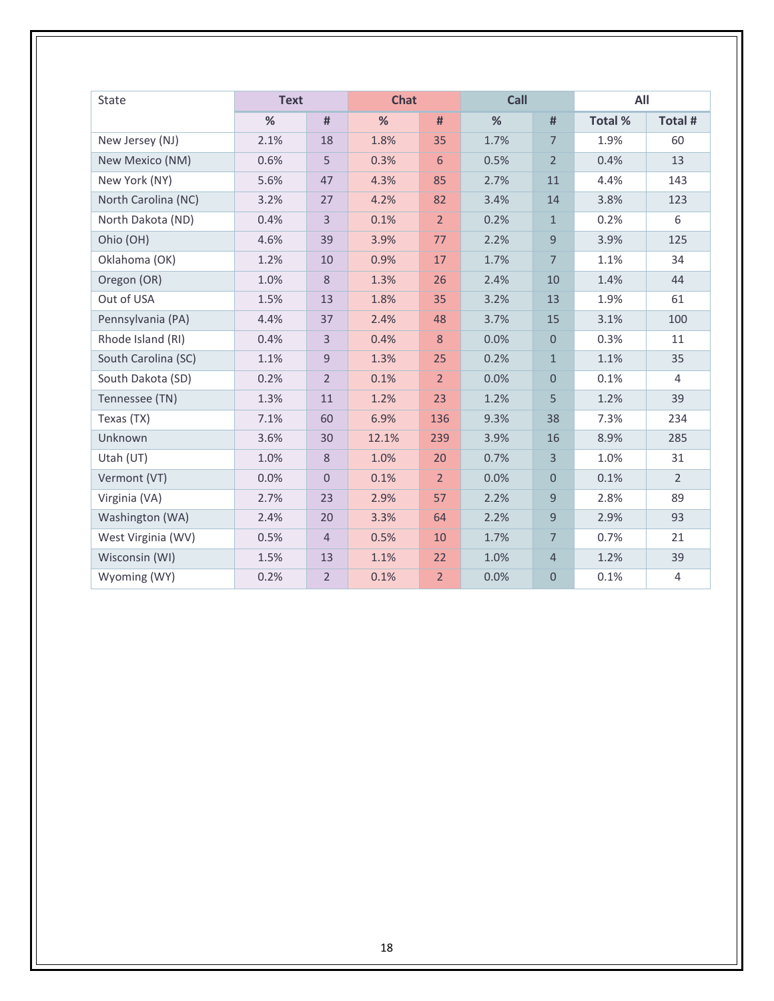| State               | <b>Text</b> |                  |       | Call<br><b>Chat</b> |      |                     | All     |                |  |
|---------------------|-------------|------------------|-------|---------------------|------|---------------------|---------|----------------|--|
|                     | %           | #                | %     | #                   | %    | #                   | Total % | Total #        |  |
| New Jersey (NJ)     | 2.1%        | 18               | 1.8%  | 35                  | 1.7% | $\overline{7}$      | 1.9%    | 60             |  |
| New Mexico (NM)     | 0.6%        | 5                | 0.3%  | 6                   | 0.5% | $\overline{2}$      | 0.4%    | 13             |  |
| New York (NY)       | 5.6%        | 47               | 4.3%  | 85                  | 2.7% | 11                  | 4.4%    | 143            |  |
| North Carolina (NC) | 3.2%        | 27               | 4.2%  | 82                  | 3.4% | 14                  | 3.8%    | 123            |  |
| North Dakota (ND)   | 0.4%        | $\overline{3}$   | 0.1%  | $\overline{2}$      | 0.2% | $\mathbf{1}$        | 0.2%    | 6              |  |
| Ohio (OH)           | 4.6%        | 39               | 3.9%  | 77                  | 2.2% | 9                   | 3.9%    | 125            |  |
| Oklahoma (OK)       | 1.2%        | 10               | 0.9%  | 17                  | 1.7% | $\overline{7}$      | 1.1%    | 34             |  |
| Oregon (OR)         | 1.0%        | 8                | 1.3%  | 26                  | 2.4% | 10                  | 1.4%    | 44             |  |
| Out of USA          | 1.5%        | 13               | 1.8%  | 35                  | 3.2% | 13                  | 1.9%    | 61             |  |
| Pennsylvania (PA)   | 4.4%        | 37               | 2.4%  | 48                  | 3.7% | 15                  | 3.1%    | 100            |  |
| Rhode Island (RI)   | 0.4%        | $\overline{3}$   | 0.4%  | 8                   | 0.0% | $\mathbf{0}$        | 0.3%    | 11             |  |
| South Carolina (SC) | 1.1%        | $\mathsf 9$      | 1.3%  | 25                  | 0.2% | $\mathbf{1}$        | 1.1%    | 35             |  |
| South Dakota (SD)   | 0.2%        | $\overline{2}$   | 0.1%  | 2 <sup>1</sup>      | 0.0% | $\mathbf{0}$        | 0.1%    | $\overline{4}$ |  |
| Tennessee (TN)      | 1.3%        | 11               | 1.2%  | 23                  | 1.2% | 5                   | 1.2%    | 39             |  |
| Texas (TX)          | 7.1%        | 60               | 6.9%  | 136                 | 9.3% | 38                  | 7.3%    | 234            |  |
| Unknown             | 3.6%        | 30               | 12.1% | 239                 | 3.9% | 16                  | 8.9%    | 285            |  |
| Utah (UT)           | 1.0%        | 8                | 1.0%  | 20                  | 0.7% | $\overline{3}$      | 1.0%    | 31             |  |
| Vermont (VT)        | 0.0%        | $\boldsymbol{0}$ | 0.1%  | 2 <sup>1</sup>      | 0.0% | $\mathsf{O}\xspace$ | 0.1%    | $\overline{2}$ |  |
| Virginia (VA)       | 2.7%        | 23               | 2.9%  | 57                  | 2.2% | 9                   | 2.8%    | 89             |  |
| Washington (WA)     | 2.4%        | 20               | 3.3%  | 64                  | 2.2% | 9                   | 2.9%    | 93             |  |
| West Virginia (WV)  | 0.5%        | $\overline{4}$   | 0.5%  | 10                  | 1.7% | $\overline{7}$      | 0.7%    | 21             |  |
| Wisconsin (WI)      | 1.5%        | 13               | 1.1%  | 22                  | 1.0% | $\overline{4}$      | 1.2%    | 39             |  |
| Wyoming (WY)        | 0.2%        | $\overline{2}$   | 0.1%  | $\overline{2}$      | 0.0% | $\mathsf{O}\xspace$ | 0.1%    | 4              |  |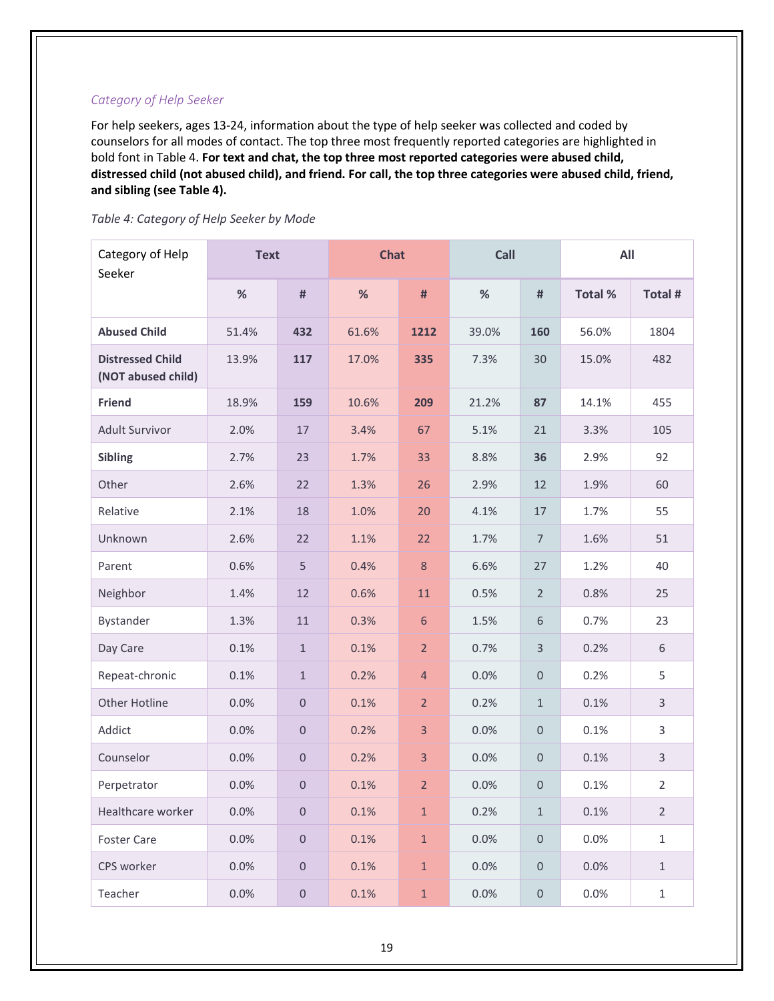# <span id="page-21-0"></span>*Category of Help Seeker*

For help seekers, ages 13-24, information about the type of help seeker was collected and coded by counselors for all modes of contact. The top three most frequently reported categories are highlighted in bold font in Table 4. **For text and chat, the top three most reported categories were abused child, distressed child (not abused child), and friend. For call, the top three categories were abused child, friend, and sibling (see Table 4).** 

<span id="page-21-1"></span>

|  | Table 4: Category of Help Seeker by Mode |  |  |  |
|--|------------------------------------------|--|--|--|
|--|------------------------------------------|--|--|--|

| Category of Help<br>Seeker                    | <b>Text</b> |                     | <b>Chat</b> |                | Call  |                     | All     |                |
|-----------------------------------------------|-------------|---------------------|-------------|----------------|-------|---------------------|---------|----------------|
|                                               | $\%$        | $\#$                | $\%$        | #              | $\%$  | $\#$                | Total % | Total #        |
| <b>Abused Child</b>                           | 51.4%       | 432                 | 61.6%       | 1212           | 39.0% | 160                 | 56.0%   | 1804           |
| <b>Distressed Child</b><br>(NOT abused child) | 13.9%       | 117                 | 17.0%       | 335            | 7.3%  | 30                  | 15.0%   | 482            |
| <b>Friend</b>                                 | 18.9%       | 159                 | 10.6%       | 209            | 21.2% | 87                  | 14.1%   | 455            |
| <b>Adult Survivor</b>                         | 2.0%        | 17                  | 3.4%        | 67             | 5.1%  | 21                  | 3.3%    | 105            |
| <b>Sibling</b>                                | 2.7%        | 23                  | 1.7%        | 33             | 8.8%  | 36                  | 2.9%    | 92             |
| Other                                         | 2.6%        | 22                  | 1.3%        | 26             | 2.9%  | 12                  | 1.9%    | 60             |
| Relative                                      | 2.1%        | 18                  | 1.0%        | 20             | 4.1%  | 17                  | 1.7%    | 55             |
| Unknown                                       | 2.6%        | 22                  | 1.1%        | 22             | 1.7%  | $\overline{7}$      | 1.6%    | 51             |
| Parent                                        | 0.6%        | 5                   | 0.4%        | $\,8\,$        | 6.6%  | 27                  | 1.2%    | 40             |
| Neighbor                                      | 1.4%        | 12                  | 0.6%        | 11             | 0.5%  | $\overline{2}$      | 0.8%    | 25             |
| Bystander                                     | 1.3%        | 11                  | 0.3%        | $\sqrt{6}$     | 1.5%  | 6                   | 0.7%    | 23             |
| Day Care                                      | 0.1%        | $\mathbf 1$         | 0.1%        | $\overline{2}$ | 0.7%  | $\mathsf{3}$        | 0.2%    | 6              |
| Repeat-chronic                                | 0.1%        | $\mathbf{1}$        | 0.2%        | $\overline{4}$ | 0.0%  | $\mathsf{O}\xspace$ | 0.2%    | 5              |
| Other Hotline                                 | 0.0%        | $\mathsf{O}\xspace$ | 0.1%        | $\overline{2}$ | 0.2%  | $\mathbf{1}$        | 0.1%    | $\overline{3}$ |
| Addict                                        | 0.0%        | $\boldsymbol{0}$    | 0.2%        | $\overline{3}$ | 0.0%  | $\mathsf{O}\xspace$ | 0.1%    | 3              |
| Counselor                                     | 0.0%        | $\mathsf{O}\xspace$ | 0.2%        | $\overline{3}$ | 0.0%  | $\mathsf{O}\xspace$ | 0.1%    | $\mathsf{3}$   |
| Perpetrator                                   | 0.0%        | $\mathbf 0$         | 0.1%        | $\overline{2}$ | 0.0%  | $\mathbf 0$         | 0.1%    | $\overline{2}$ |
| Healthcare worker                             | $0.0\%$     | $\mathsf{O}\xspace$ | 0.1%        | $\mathbf 1$    | 0.2%  | $\mathbf{1}$        | 0.1%    | $\overline{2}$ |
| <b>Foster Care</b>                            | 0.0%        | $\mathsf{O}\xspace$ | 0.1%        | $\mathbf 1$    | 0.0%  | $\mathsf{O}\xspace$ | 0.0%    | $\mathbf 1$    |
| CPS worker                                    | 0.0%        | $\mathbf 0$         | 0.1%        | $\mathbf 1$    | 0.0%  | $\mathsf{O}\xspace$ | 0.0%    | $\mathbf{1}$   |
| Teacher                                       | 0.0%        | $\mathsf{O}\xspace$ | 0.1%        | $\mathbf 1$    | 0.0%  | $\mathsf{O}\xspace$ | 0.0%    | $\mathbf{1}$   |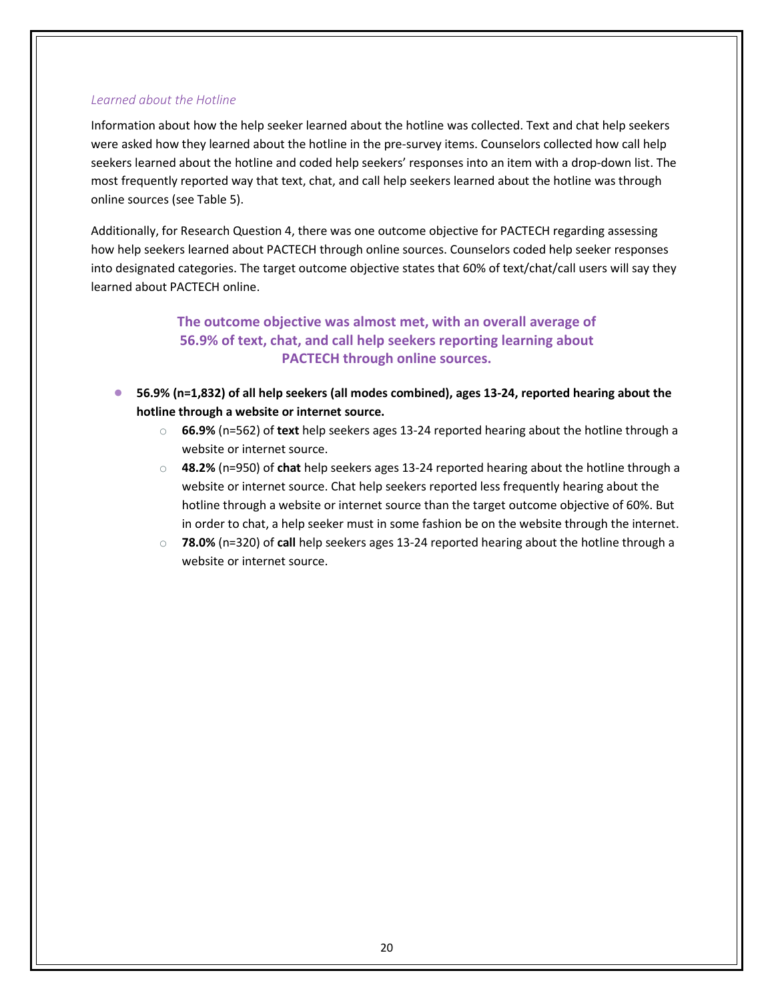### <span id="page-22-0"></span>*Learned about the Hotline*

Information about how the help seeker learned about the hotline was collected. Text and chat help seekers were asked how they learned about the hotline in the pre-survey items. Counselors collected how call help seekers learned about the hotline and coded help seekers' responses into an item with a drop-down list. The most frequently reported way that text, chat, and call help seekers learned about the hotline was through online sources (see Table 5).

Additionally, for Research Question 4, there was one outcome objective for PACTECH regarding assessing how help seekers learned about PACTECH through online sources. Counselors coded help seeker responses into designated categories. The target outcome objective states that 60% of text/chat/call users will say they learned about PACTECH online.

# **The outcome objective was almost met, with an overall average of 56.9% of text, chat, and call help seekers reporting learning about PACTECH through online sources.**

- **56.9% (n=1,832) of all help seekers (all modes combined), ages 13-24, reported hearing about the hotline through a website or internet source.**
	- o **66.9%** (n=562) of **text** help seekers ages 13-24 reported hearing about the hotline through a website or internet source.
	- o **48.2%** (n=950) of **chat** help seekers ages 13-24 reported hearing about the hotline through a website or internet source. Chat help seekers reported less frequently hearing about the hotline through a website or internet source than the target outcome objective of 60%. But in order to chat, a help seeker must in some fashion be on the website through the internet.
	- o **78.0%** (n=320) of **call** help seekers ages 13-24 reported hearing about the hotline through a website or internet source.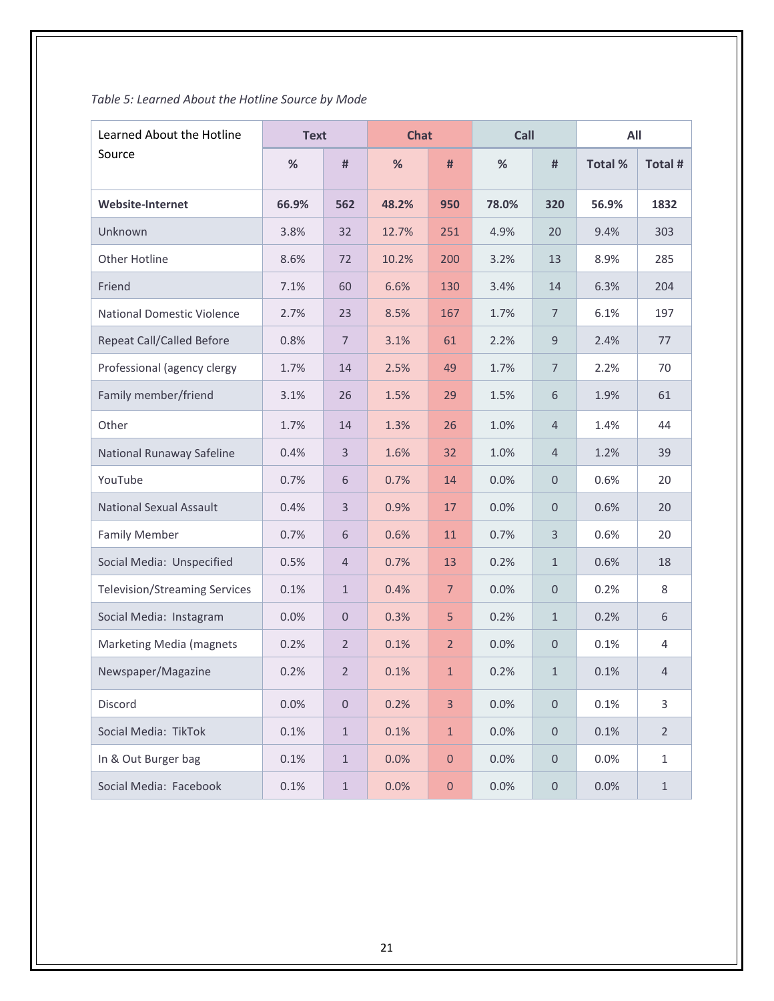# <span id="page-23-0"></span>*Table 5: Learned About the Hotline Source by Mode*

| Learned About the Hotline            | <b>Text</b> |                  | <b>Chat</b> |                | Call  |                     | All     |                |
|--------------------------------------|-------------|------------------|-------------|----------------|-------|---------------------|---------|----------------|
| Source                               | %           | #                | %           | #              | %     | #                   | Total % | Total #        |
| <b>Website-Internet</b>              | 66.9%       | 562              | 48.2%       | 950            | 78.0% | 320                 | 56.9%   | 1832           |
| Unknown                              | 3.8%        | 32               | 12.7%       | 251            | 4.9%  | 20                  | 9.4%    | 303            |
| <b>Other Hotline</b>                 | 8.6%        | 72               | 10.2%       | 200            | 3.2%  | 13                  | 8.9%    | 285            |
| Friend                               | 7.1%        | 60               | 6.6%        | 130            | 3.4%  | 14                  | 6.3%    | 204            |
| <b>National Domestic Violence</b>    | 2.7%        | 23               | 8.5%        | 167            | 1.7%  | $\overline{7}$      | 6.1%    | 197            |
| <b>Repeat Call/Called Before</b>     | 0.8%        | $\overline{7}$   | 3.1%        | 61             | 2.2%  | $9$                 | 2.4%    | 77             |
| Professional (agency clergy          | 1.7%        | 14               | 2.5%        | 49             | 1.7%  | $\overline{7}$      | 2.2%    | 70             |
| Family member/friend                 | 3.1%        | 26               | 1.5%        | 29             | 1.5%  | 6                   | 1.9%    | 61             |
| Other                                | 1.7%        | 14               | 1.3%        | 26             | 1.0%  | $\overline{4}$      | 1.4%    | 44             |
| National Runaway Safeline            | 0.4%        | 3                | 1.6%        | 32             | 1.0%  | $\overline{4}$      | 1.2%    | 39             |
| YouTube                              | 0.7%        | 6                | 0.7%        | 14             | 0.0%  | $\mathbf{0}$        | 0.6%    | 20             |
| <b>National Sexual Assault</b>       | 0.4%        | $\overline{3}$   | 0.9%        | 17             | 0.0%  | $\mathbf{0}$        | 0.6%    | 20             |
| <b>Family Member</b>                 | 0.7%        | 6                | 0.6%        | 11             | 0.7%  | $\overline{3}$      | 0.6%    | 20             |
| Social Media: Unspecified            | 0.5%        | $\overline{4}$   | 0.7%        | 13             | 0.2%  | $\mathbf{1}$        | 0.6%    | 18             |
| <b>Television/Streaming Services</b> | 0.1%        | $\mathbf{1}$     | 0.4%        | $\overline{7}$ | 0.0%  | $\mathbf{0}$        | 0.2%    | $\,8\,$        |
| Social Media: Instagram              | 0.0%        | $\boldsymbol{0}$ | 0.3%        | 5              | 0.2%  | $\mathbf{1}$        | 0.2%    | 6              |
| Marketing Media (magnets             | 0.2%        | $\overline{2}$   | 0.1%        | $\overline{2}$ | 0.0%  | $\mathbf 0$         | 0.1%    | $\overline{4}$ |
| Newspaper/Magazine                   | 0.2%        | $\overline{2}$   | 0.1%        | $\mathbf{1}$   | 0.2%  | $\mathbf{1}$        | 0.1%    | $\overline{4}$ |
| Discord                              | 0.0%        | $\mathbf 0$      | 0.2%        | 3              | 0.0%  | $\boldsymbol{0}$    | 0.1%    | 3              |
| Social Media: TikTok                 | 0.1%        | $1\,$            | 0.1%        | $\mathbf{1}$   | 0.0%  | $\boldsymbol{0}$    | 0.1%    | $\overline{2}$ |
| In & Out Burger bag                  | 0.1%        | $\mathbf{1}$     | 0.0%        | $\mathbf{0}$   | 0.0%  | $\mathbf 0$         | 0.0%    | $1\,$          |
| Social Media: Facebook               | 0.1%        | $1\,$            | 0.0%        | $\mathbf 0$    | 0.0%  | $\mathsf{O}\xspace$ | 0.0%    | $\mathbf{1}$   |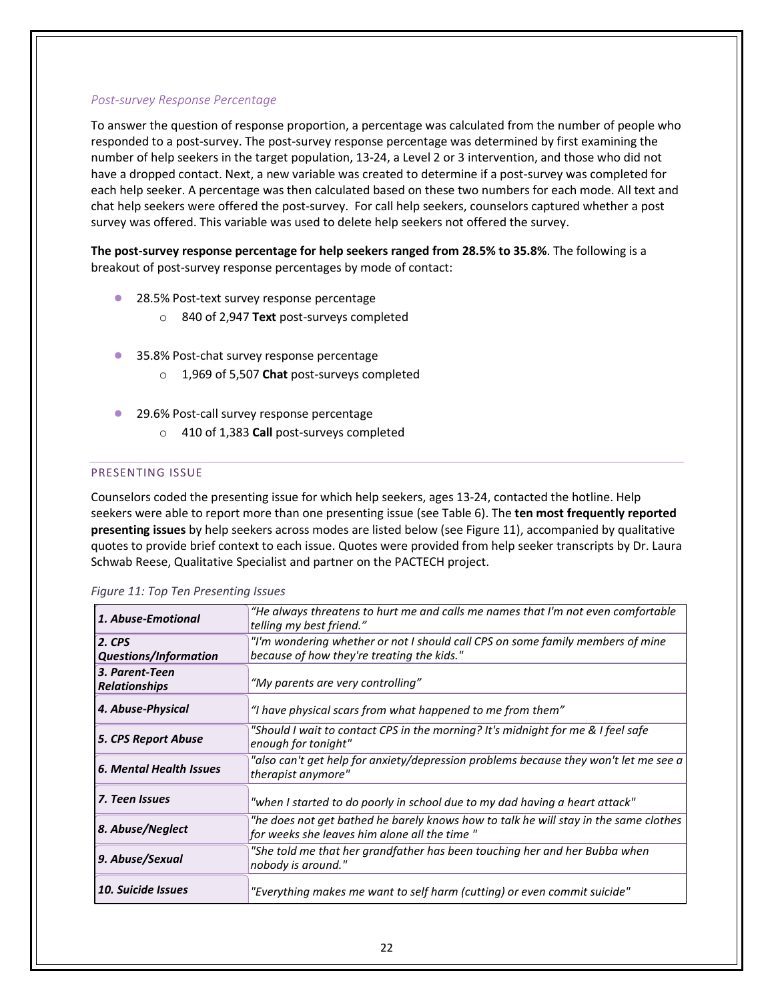### <span id="page-24-0"></span>*Post-survey Response Percentage*

To answer the question of response proportion, a percentage was calculated from the number of people who responded to a post-survey. The post-survey response percentage was determined by first examining the number of help seekers in the target population, 13-24, a Level 2 or 3 intervention, and those who did not have a dropped contact. Next, a new variable was created to determine if a post-survey was completed for each help seeker. A percentage was then calculated based on these two numbers for each mode. All text and chat help seekers were offered the post-survey. For call help seekers, counselors captured whether a post survey was offered. This variable was used to delete help seekers not offered the survey.

**The post-survey response percentage for help seekers ranged from 28.5% to 35.8%**. The following is a breakout of post-survey response percentages by mode of contact:

- 28.5% Post-text survey response percentage
	- o 840 of 2,947 **Text** post-surveys completed
- 35.8% Post-chat survey response percentage
	- o 1,969 of 5,507 **Chat** post-surveys completed
- 29.6% Post-call survey response percentage
	- o 410 of 1,383 **Call** post-surveys completed

#### <span id="page-24-1"></span>PRESENTING ISSUE

Counselors coded the presenting issue for which help seekers, ages 13-24, contacted the hotline. Help seekers were able to report more than one presenting issue (see Table 6). The **ten most frequently reported presenting issues** by help seekers across modes are listed below (see Figure 11), accompanied by qualitative quotes to provide brief context to each issue. Quotes were provided from help seeker transcripts by Dr. Laura Schwab Reese, Qualitative Specialist and partner on the PACTECH project.

| 1. Abuse-Emotional                     | "He always threatens to hurt me and calls me names that I'm not even comfortable<br>telling my best friend."                         |
|----------------------------------------|--------------------------------------------------------------------------------------------------------------------------------------|
| $2.$ CPS                               | "I'm wondering whether or not I should call CPS on some family members of mine                                                       |
| <b>Questions/Information</b>           | because of how they're treating the kids."                                                                                           |
| 3. Parent-Teen<br><b>Relationships</b> | "My parents are very controlling"                                                                                                    |
| 4. Abuse-Physical                      | "I have physical scars from what happened to me from them"                                                                           |
| <b>5. CPS Report Abuse</b>             | "Should I wait to contact CPS in the morning? It's midnight for me & I feel safe<br>enough for tonight"                              |
| 6. Mental Health Issues                | "also can't get help for anxiety/depression problems because they won't let me see a<br>therapist anymore"                           |
| 7. Teen Issues                         | "when I started to do poorly in school due to my dad having a heart attack"                                                          |
| 8. Abuse/Neglect                       | "he does not get bathed he barely knows how to talk he will stay in the same clothes<br>for weeks she leaves him alone all the time" |
| 9. Abuse/Sexual                        | "She told me that her grandfather has been touching her and her Bubba when<br>nobody is around."                                     |
| <b>10. Suicide Issues</b>              | "Everything makes me want to self harm (cutting) or even commit suicide"                                                             |

|  |  | Figure 11: Top Ten Presenting Issues |  |
|--|--|--------------------------------------|--|
|  |  |                                      |  |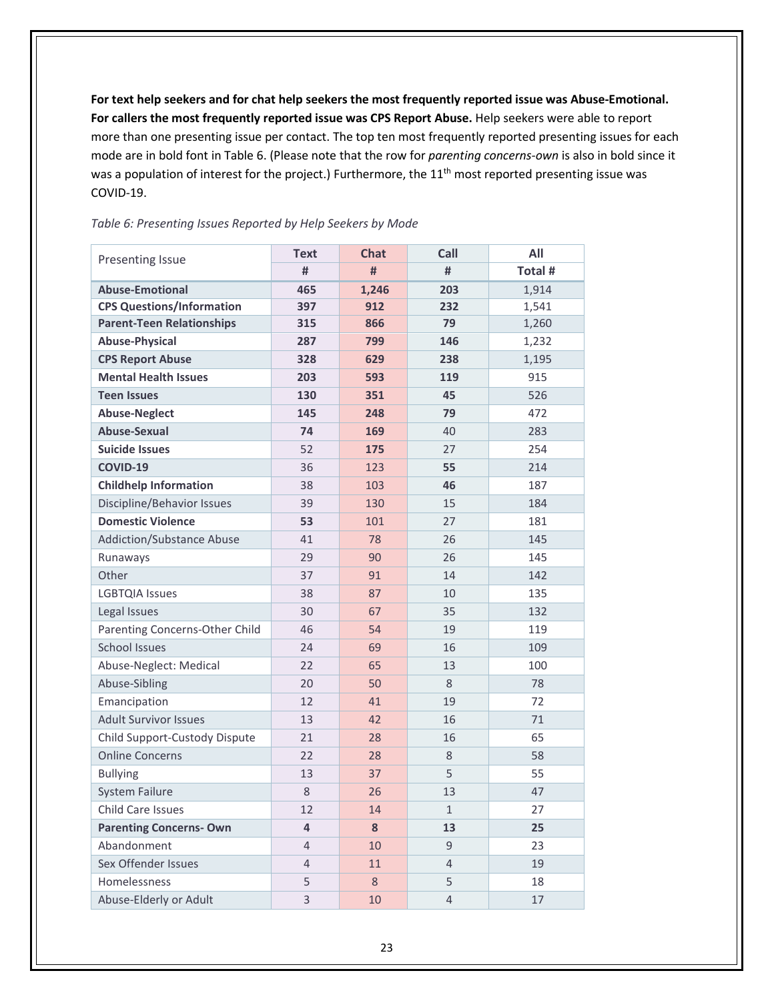**For text help seekers and for chat help seekers the most frequently reported issue was Abuse-Emotional. For callers the most frequently reported issue was CPS Report Abuse.** Help seekers were able to report more than one presenting issue per contact. The top ten most frequently reported presenting issues for each mode are in bold font in Table 6. (Please note that the row for *parenting concerns-own* is also in bold since it was a population of interest for the project.) Furthermore, the 11<sup>th</sup> most reported presenting issue was COVID-19.

# Presenting Issue **Text Chat Call All**<br>  $\frac{1}{4}$  **Call All**<br>  $\frac{1}{4}$  **Call All # # # Total # Abuse-Emotional 465 1,246 203** 1,914 **CPS Questions/Information 397 912 232** 1,541 **Parent-Teen Relationships 1315 866 79** 1,260 **Abuse-Physical 287 799 146** 1,232 **CPS Report Abuse 328 629 238** 1,195 **Mental Health Issues 203 593 119** 915 **Teen Issues 130 351 45** 526 **Abuse-Neglect 145 248 79** 472 **Abuse-Sexual 74 169** 40 283 **Suicide Issues** 52 **175** 27 254 **COVID-19** 36 123 **55** 214 **Childhelp Information** 38 103 **46** 187 Discipline/Behavior Issues 139 130 15 184 **Domestic Violence 53** 101 27 181 Addiction/Substance Abuse 141 78 26 145 Runaways 29 29 90 26 145 Other 37 91 14 142 LGBTQIA Issues 20 138 238 37 10 135 Legal Issues 132 Parenting Concerns-Other Child 46 54 19 19 119 School Issues 24 69 16 109 Abuse-Neglect: Medical 122 65 13 100 Abuse-Sibling 20 50 8 78 Emancipation 12 12 41 19 72 Adult Survivor Issues 13 13 42 16 71 Child Support-Custody Dispute 21 28 16 5 Online Concerns 22 28 8 58 Bullying 13 37 55 55 System Failure 13 26 13 47

Child Care Issues 27 12 14 14 1 27 **Parenting Concerns- Own 4 8 13 25**  Abandonment 4 10 9 23 Sex Offender Issues 1 14 11 4 19 Homelessness 5 5 8 5 18 Abuse-Elderly or Adult 10 10 10 4 17

### <span id="page-25-0"></span>*Table 6: Presenting Issues Reported by Help Seekers by Mode*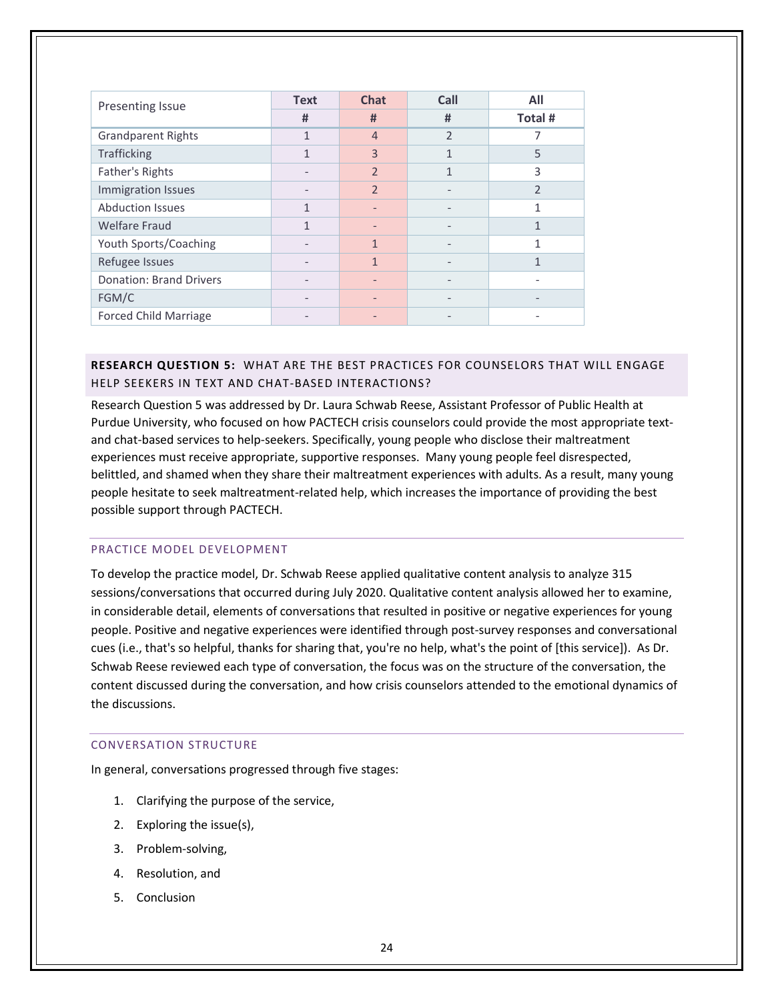| <b>Presenting Issue</b>        | <b>Text</b>  | <b>Chat</b>    | Call                     | All            |
|--------------------------------|--------------|----------------|--------------------------|----------------|
|                                | #            | #              | #                        | Total #        |
| <b>Grandparent Rights</b>      | $\mathbf{1}$ | $\overline{4}$ | C                        | 7              |
| <b>Trafficking</b>             | 1            | 3              | 1                        | 5              |
| Father's Rights                |              | $\mathfrak{D}$ | 1                        | 3              |
| Immigration Issues             |              | $\mathfrak{D}$ |                          | $\overline{2}$ |
| <b>Abduction Issues</b>        | 1            |                |                          |                |
| <b>Welfare Fraud</b>           | 1            |                |                          | 1              |
| Youth Sports/Coaching          |              | 1              |                          |                |
| Refugee Issues                 |              | 1              |                          | 1              |
| <b>Donation: Brand Drivers</b> |              |                |                          |                |
| FGM/C                          |              |                |                          |                |
| <b>Forced Child Marriage</b>   |              |                | $\overline{\phantom{0}}$ |                |

# <span id="page-26-0"></span>**RESEARCH QUESTION 5:** WHAT ARE THE BEST PRACTICES FOR COUNSELORS THAT WILL ENGAGE HELP SEEKERS IN TEXT AND CHAT-BASED INTERACTIONS?

Research Question 5 was addressed by Dr. Laura Schwab Reese, Assistant Professor of Public Health at Purdue University, who focused on how PACTECH crisis counselors could provide the most appropriate textand chat-based services to help-seekers. Specifically, young people who disclose their maltreatment experiences must receive appropriate, supportive responses. Many young people feel disrespected, belittled, and shamed when they share their maltreatment experiences with adults. As a result, many young people hesitate to seek maltreatment-related help, which increases the importance of providing the best possible support through PACTECH.

# <span id="page-26-1"></span>PRACTICE MODEL DEVELOPMENT

To develop the practice model, Dr. Schwab Reese applied qualitative content analysis to analyze 315 sessions/conversations that occurred during July 2020. Qualitative content analysis allowed her to examine, in considerable detail, elements of conversations that resulted in positive or negative experiences for young people. Positive and negative experiences were identified through post-survey responses and conversational cues (i.e., that's so helpful, thanks for sharing that, you're no help, what's the point of [this service]). As Dr. Schwab Reese reviewed each type of conversation, the focus was on the structure of the conversation, the content discussed during the conversation, and how crisis counselors attended to the emotional dynamics of the discussions.

#### <span id="page-26-2"></span>CONVERSATION STRUCTURE

In general, conversations progressed through five stages:

- 1. Clarifying the purpose of the service,
- 2. Exploring the issue(s),
- 3. Problem-solving,
- 4. Resolution, and
- 5. Conclusion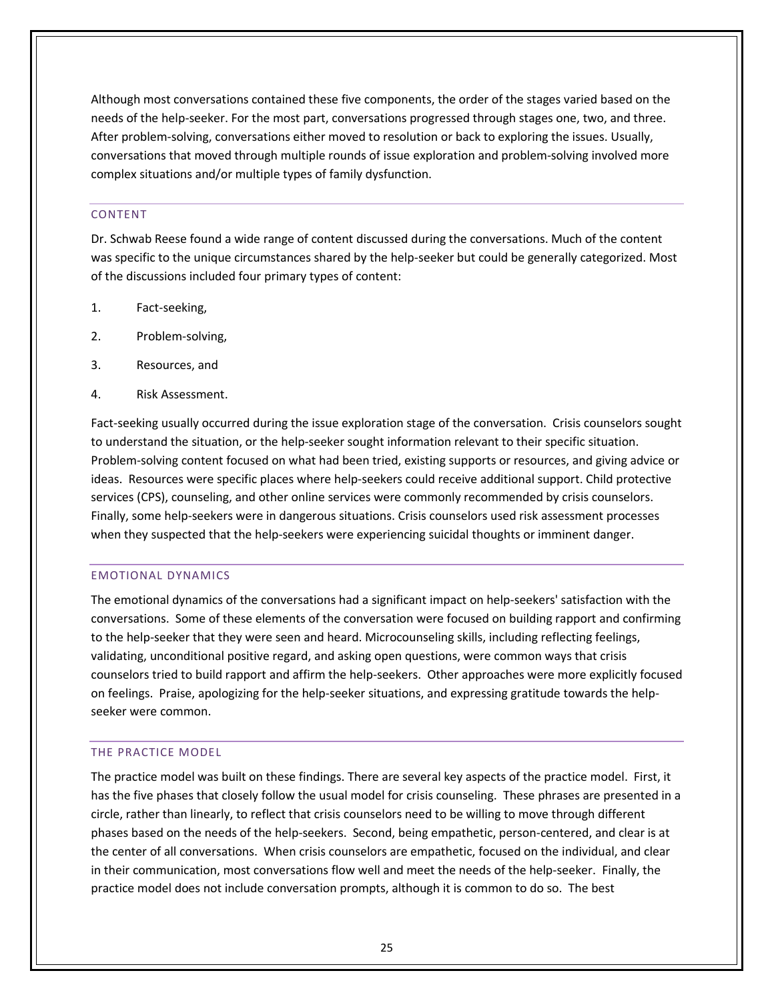Although most conversations contained these five components, the order of the stages varied based on the needs of the help-seeker. For the most part, conversations progressed through stages one, two, and three. After problem-solving, conversations either moved to resolution or back to exploring the issues. Usually, conversations that moved through multiple rounds of issue exploration and problem-solving involved more complex situations and/or multiple types of family dysfunction.

### <span id="page-27-0"></span>CONTENT

Dr. Schwab Reese found a wide range of content discussed during the conversations. Much of the content was specific to the unique circumstances shared by the help-seeker but could be generally categorized. Most of the discussions included four primary types of content:

- 1. Fact-seeking,
- 2. Problem-solving,
- 3. Resources, and
- 4. Risk Assessment.

Fact-seeking usually occurred during the issue exploration stage of the conversation. Crisis counselors sought to understand the situation, or the help-seeker sought information relevant to their specific situation. Problem-solving content focused on what had been tried, existing supports or resources, and giving advice or ideas. Resources were specific places where help-seekers could receive additional support. Child protective services (CPS), counseling, and other online services were commonly recommended by crisis counselors. Finally, some help-seekers were in dangerous situations. Crisis counselors used risk assessment processes when they suspected that the help-seekers were experiencing suicidal thoughts or imminent danger.

#### <span id="page-27-1"></span>EMOTIONAL DYNAMICS

The emotional dynamics of the conversations had a significant impact on help-seekers' satisfaction with the conversations. Some of these elements of the conversation were focused on building rapport and confirming to the help-seeker that they were seen and heard. Microcounseling skills, including reflecting feelings, validating, unconditional positive regard, and asking open questions, were common ways that crisis counselors tried to build rapport and affirm the help-seekers. Other approaches were more explicitly focused on feelings. Praise, apologizing for the help-seeker situations, and expressing gratitude towards the helpseeker were common.

#### <span id="page-27-2"></span>THE PRACTICE MODEL

The practice model was built on these findings. There are several key aspects of the practice model. First, it has the five phases that closely follow the usual model for crisis counseling. These phrases are presented in a circle, rather than linearly, to reflect that crisis counselors need to be willing to move through different phases based on the needs of the help-seekers. Second, being empathetic, person-centered, and clear is at the center of all conversations. When crisis counselors are empathetic, focused on the individual, and clear in their communication, most conversations flow well and meet the needs of the help-seeker. Finally, the practice model does not include conversation prompts, although it is common to do so. The best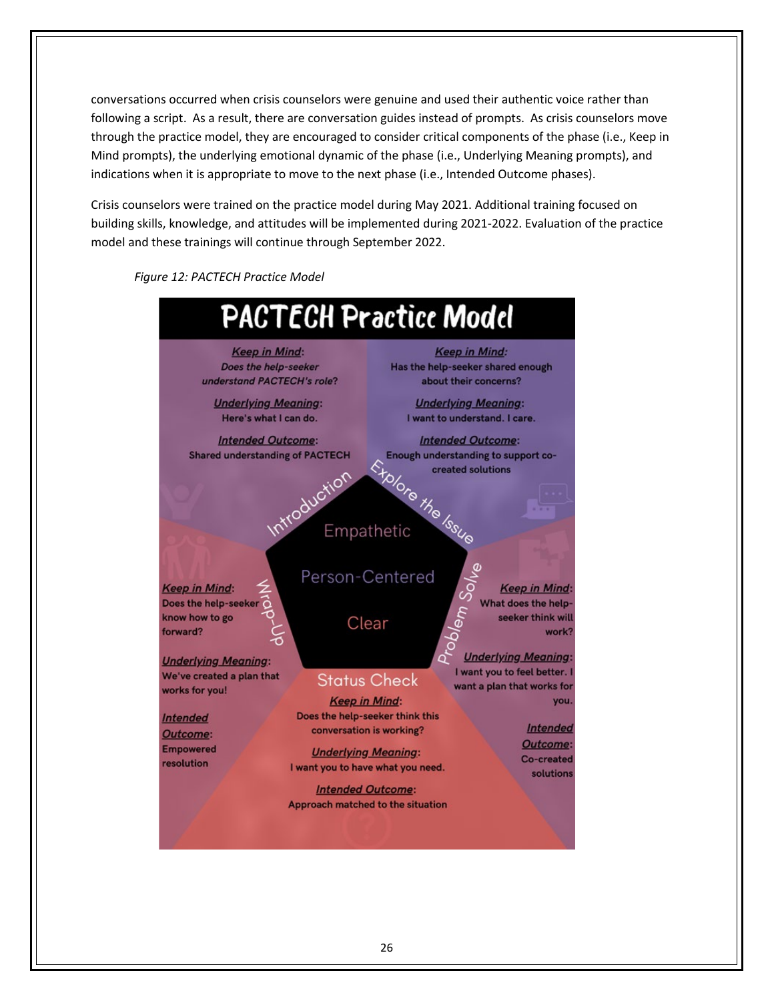conversations occurred when crisis counselors were genuine and used their authentic voice rather than following a script. As a result, there are conversation guides instead of prompts. As crisis counselors move through the practice model, they are encouraged to consider critical components of the phase (i.e., Keep in Mind prompts), the underlying emotional dynamic of the phase (i.e., Underlying Meaning prompts), and indications when it is appropriate to move to the next phase (i.e., Intended Outcome phases).

Crisis counselors were trained on the practice model during May 2021. Additional training focused on building skills, knowledge, and attitudes will be implemented during 2021-2022. Evaluation of the practice model and these trainings will continue through September 2022.



*Figure 12: PACTECH Practice Model*